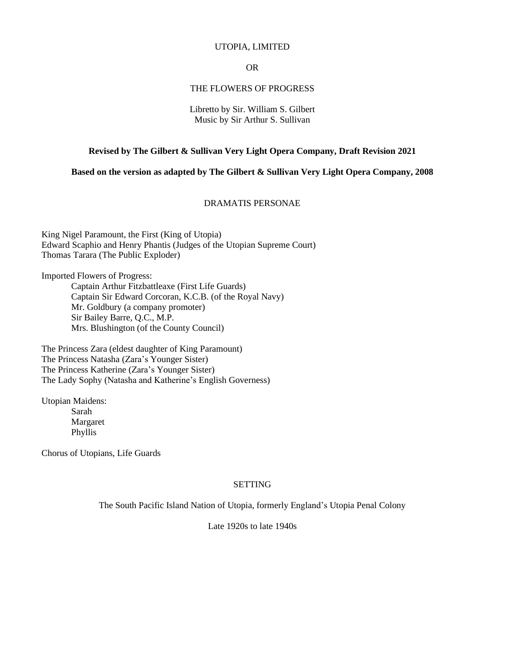#### UTOPIA, LIMITED

OR

## THE FLOWERS OF PROGRESS

#### Libretto by Sir. William S. Gilbert Music by Sir Arthur S. Sullivan

#### **Revised by The Gilbert & Sullivan Very Light Opera Company, Draft Revision 2021**

**Based on the version as adapted by The Gilbert & Sullivan Very Light Opera Company, 2008**

## DRAMATIS PERSONAE

King Nigel Paramount, the First (King of Utopia) Edward Scaphio and Henry Phantis (Judges of the Utopian Supreme Court) Thomas Tarara (The Public Exploder)

Imported Flowers of Progress:

Captain Arthur Fitzbattleaxe (First Life Guards) Captain Sir Edward Corcoran, K.C.B. (of the Royal Navy) Mr. Goldbury (a company promoter) Sir Bailey Barre, Q.C., M.P. Mrs. Blushington (of the County Council)

The Princess Zara (eldest daughter of King Paramount) The Princess Natasha (Zara's Younger Sister) The Princess Katherine (Zara's Younger Sister) The Lady Sophy (Natasha and Katherine's English Governess)

Utopian Maidens: Sarah Margaret Phyllis

Chorus of Utopians, Life Guards

## SETTING

The South Pacific Island Nation of Utopia, formerly England's Utopia Penal Colony

Late 1920s to late 1940s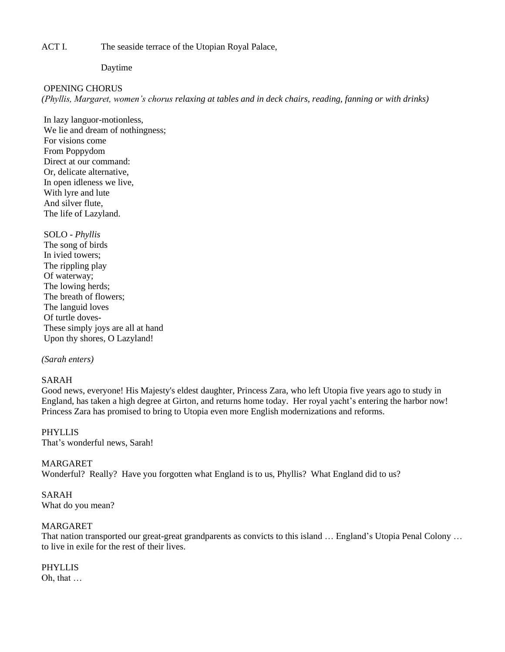ACT I. The seaside terrace of the Utopian Royal Palace,

Daytime

#### OPENING CHORUS

*(Phyllis, Margaret, women's chorus relaxing at tables and in deck chairs, reading, fanning or with drinks)* 

In lazy languor-motionless, We lie and dream of nothingness; For visions come From Poppydom Direct at our command: Or, delicate alternative, In open idleness we live, With lyre and lute And silver flute, The life of Lazyland.

SOLO - *Phyllis* The song of birds In ivied towers; The rippling play Of waterway; The lowing herds; The breath of flowers; The languid loves Of turtle doves-These simply joys are all at hand Upon thy shores, O Lazyland!

## *(Sarah enters)*

## SARAH

Good news, everyone! His Majesty's eldest daughter, Princess Zara, who left Utopia five years ago to study in England, has taken a high degree at Girton, and returns home today. Her royal yacht's entering the harbor now! Princess Zara has promised to bring to Utopia even more English modernizations and reforms.

PHYLLIS That's wonderful news, Sarah!

#### MARGARET

Wonderful? Really? Have you forgotten what England is to us, Phyllis? What England did to us?

## SARAH

What do you mean?

## MARGARET

That nation transported our great-great grandparents as convicts to this island … England's Utopia Penal Colony … to live in exile for the rest of their lives.

## PHYLLIS

Oh, that …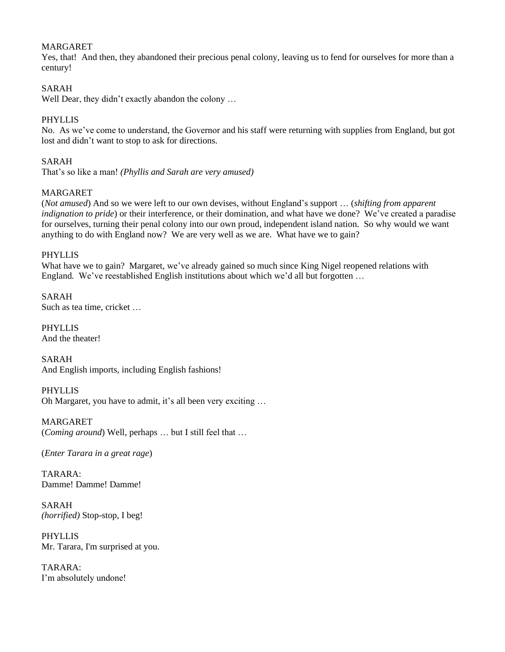# MARGARET

Yes, that! And then, they abandoned their precious penal colony, leaving us to fend for ourselves for more than a century!

# SARAH

Well Dear, they didn't exactly abandon the colony ...

# PHYLLIS

No. As we've come to understand, the Governor and his staff were returning with supplies from England, but got lost and didn't want to stop to ask for directions.

# SARAH

That's so like a man! *(Phyllis and Sarah are very amused)*

# MARGARET

(*Not amused*) And so we were left to our own devises, without England's support … (*shifting from apparent indignation to pride*) or their interference, or their domination, and what have we done? We've created a paradise for ourselves, turning their penal colony into our own proud, independent island nation. So why would we want anything to do with England now? We are very well as we are. What have we to gain?

## PHYLLIS

What have we to gain? Margaret, we've already gained so much since King Nigel reopened relations with England. We've reestablished English institutions about which we'd all but forgotten …

SARAH Such as tea time, cricket …

PHYLLIS And the theater!

SARAH And English imports, including English fashions!

PHYLLIS Oh Margaret, you have to admit, it's all been very exciting …

MARGARET (*Coming around*) Well, perhaps … but I still feel that …

(*Enter Tarara in a great rage*)

TARARA: Damme! Damme! Damme!

SARAH *(horrified)* Stop-stop, I beg!

PHYLLIS Mr. Tarara, I'm surprised at you.

TARARA: I'm absolutely undone!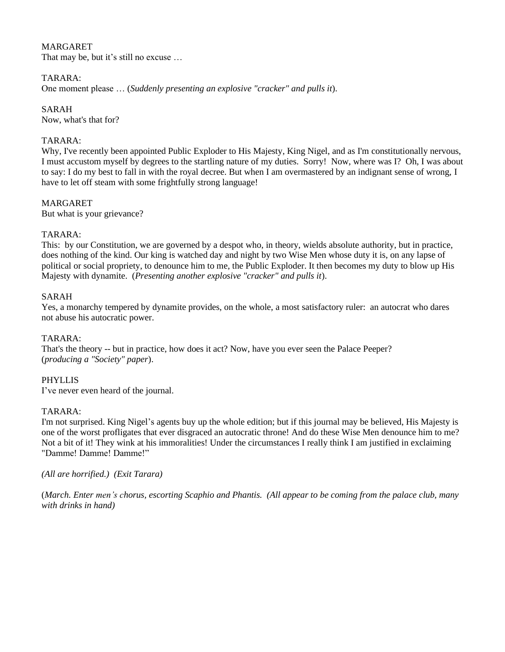## MARGARET

That may be, but it's still no excuse …

#### TARARA:

One moment please … (*Suddenly presenting an explosive "cracker" and pulls it*).

SARAH Now, what's that for?

#### TARARA:

Why, I've recently been appointed Public Exploder to His Majesty, King Nigel, and as I'm constitutionally nervous, I must accustom myself by degrees to the startling nature of my duties. Sorry! Now, where was I? Oh, I was about to say: I do my best to fall in with the royal decree. But when I am overmastered by an indignant sense of wrong, I have to let off steam with some frightfully strong language!

## MARGARET

But what is your grievance?

#### TARARA:

This: by our Constitution, we are governed by a despot who, in theory, wields absolute authority, but in practice, does nothing of the kind. Our king is watched day and night by two Wise Men whose duty it is, on any lapse of political or social propriety, to denounce him to me, the Public Exploder. It then becomes my duty to blow up His Majesty with dynamite. (*Presenting another explosive "cracker" and pulls it*).

#### SARAH

Yes, a monarchy tempered by dynamite provides, on the whole, a most satisfactory ruler: an autocrat who dares not abuse his autocratic power.

#### TARARA:

That's the theory -- but in practice, how does it act? Now, have you ever seen the Palace Peeper? (*producing a "Society" paper*).

## PHYLLIS

I've never even heard of the journal.

#### TARARA:

I'm not surprised. King Nigel's agents buy up the whole edition; but if this journal may be believed, His Majesty is one of the worst profligates that ever disgraced an autocratic throne! And do these Wise Men denounce him to me? Not a bit of it! They wink at his immoralities! Under the circumstances I really think I am justified in exclaiming "Damme! Damme! Damme!"

*(All are horrified.) (Exit Tarara)*

(*March. Enter men's chorus, escorting Scaphio and Phantis. (All appear to be coming from the palace club, many with drinks in hand)*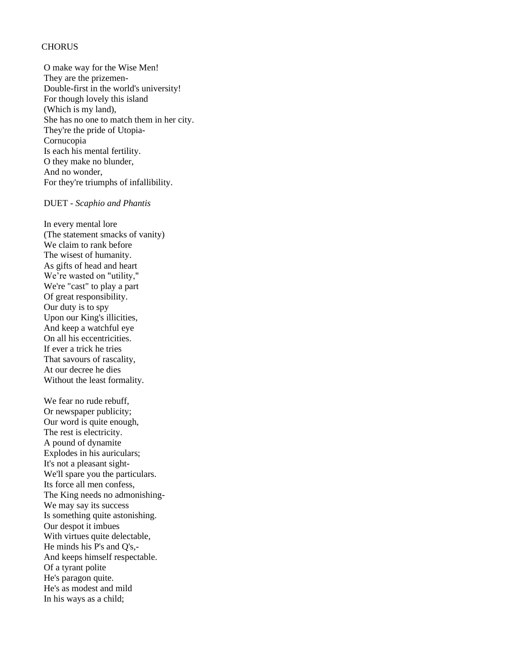#### **CHORUS**

O make way for the Wise Men! They are the prizemen-Double-first in the world's university! For though lovely this island (Which is my land), She has no one to match them in her city. They're the pride of Utopia-Cornucopia Is each his mental fertility. O they make no blunder, And no wonder, For they're triumphs of infallibility.

## DUET - *Scaphio and Phantis*

In every mental lore (The statement smacks of vanity) We claim to rank before The wisest of humanity. As gifts of head and heart We're wasted on "utility," We're "cast" to play a part Of great responsibility. Our duty is to spy Upon our King's illicities, And keep a watchful eye On all his eccentricities. If ever a trick he tries That savours of rascality, At our decree he dies Without the least formality.

We fear no rude rebuff, Or newspaper publicity; Our word is quite enough, The rest is electricity. A pound of dynamite Explodes in his auriculars; It's not a pleasant sight-We'll spare you the particulars. Its force all men confess, The King needs no admonishing-We may say its success Is something quite astonishing. Our despot it imbues With virtues quite delectable, He minds his P's and Q's,- And keeps himself respectable. Of a tyrant polite He's paragon quite. He's as modest and mild In his ways as a child;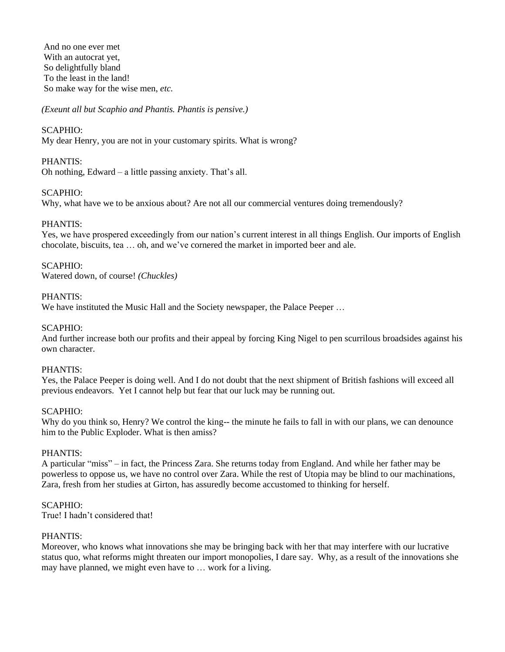And no one ever met With an autocrat yet, So delightfully bland To the least in the land! So make way for the wise men, *etc.*

*(Exeunt all but Scaphio and Phantis. Phantis is pensive.)*

# SCAPHIO:

My dear Henry, you are not in your customary spirits. What is wrong?

# PHANTIS:

Oh nothing, Edward – a little passing anxiety. That's all.

## SCAPHIO:

Why, what have we to be anxious about? Are not all our commercial ventures doing tremendously?

# PHANTIS:

Yes, we have prospered exceedingly from our nation's current interest in all things English. Our imports of English chocolate, biscuits, tea … oh, and we've cornered the market in imported beer and ale.

# SCAPHIO:

Watered down, of course! *(Chuckles)*

## PHANTIS:

We have instituted the Music Hall and the Society newspaper, the Palace Peeper ...

# SCAPHIO:

And further increase both our profits and their appeal by forcing King Nigel to pen scurrilous broadsides against his own character.

## PHANTIS:

Yes, the Palace Peeper is doing well. And I do not doubt that the next shipment of British fashions will exceed all previous endeavors. Yet I cannot help but fear that our luck may be running out.

## SCAPHIO:

Why do you think so, Henry? We control the king-- the minute he fails to fall in with our plans, we can denounce him to the Public Exploder. What is then amiss?

## PHANTIS:

A particular "miss" – in fact, the Princess Zara. She returns today from England. And while her father may be powerless to oppose us, we have no control over Zara. While the rest of Utopia may be blind to our machinations, Zara, fresh from her studies at Girton, has assuredly become accustomed to thinking for herself.

## SCAPHIO:

True! I hadn't considered that!

## PHANTIS:

Moreover, who knows what innovations she may be bringing back with her that may interfere with our lucrative status quo, what reforms might threaten our import monopolies, I dare say. Why, as a result of the innovations she may have planned, we might even have to … work for a living.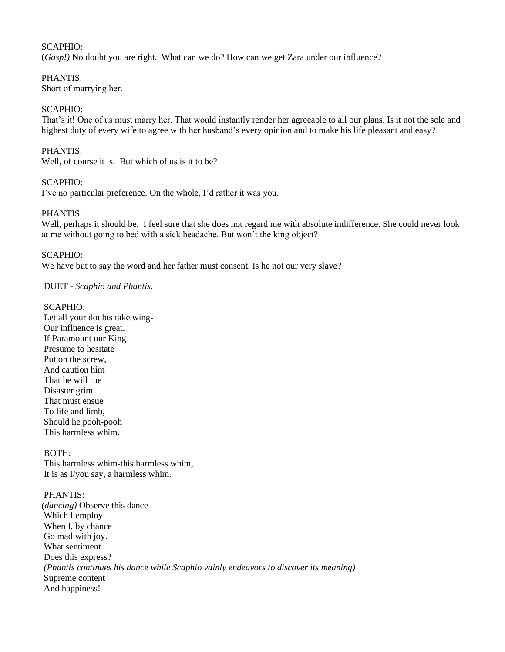## SCAPHIO:

(*Gasp!)* No doubt you are right. What can we do? How can we get Zara under our influence?

## PHANTIS:

Short of marrying her…

## SCAPHIO:

That's it! One of us must marry her. That would instantly render her agreeable to all our plans. Is it not the sole and highest duty of every wife to agree with her husband's every opinion and to make his life pleasant and easy?

## PHANTIS:

Well, of course it is. But which of us is it to be?

## SCAPHIO:

I've no particular preference. On the whole, I'd rather it was you.

## PHANTIS:

Well, perhaps it should be. I feel sure that she does not regard me with absolute indifference. She could never look at me without going to bed with a sick headache. But won't the king object?

#### SCAPHIO:

We have but to say the word and her father must consent. Is he not our very slave?

## DUET - *Scaphio and Phantis*.

#### SCAPHIO:

Let all your doubts take wing-Our influence is great. If Paramount our King Presume to hesitate Put on the screw, And caution him That he will rue Disaster grim That must ensue To life and limb, Should he pooh-pooh This harmless whim.

BOTH: This harmless whim-this harmless whim, It is as I/you say, a harmless whim.

#### PHANTIS:

*(dancing)* Observe this dance Which I employ When I, by chance Go mad with joy. What sentiment Does this express? *(Phantis continues his dance while Scaphio vainly endeavors to discover its meaning)* Supreme content And happiness!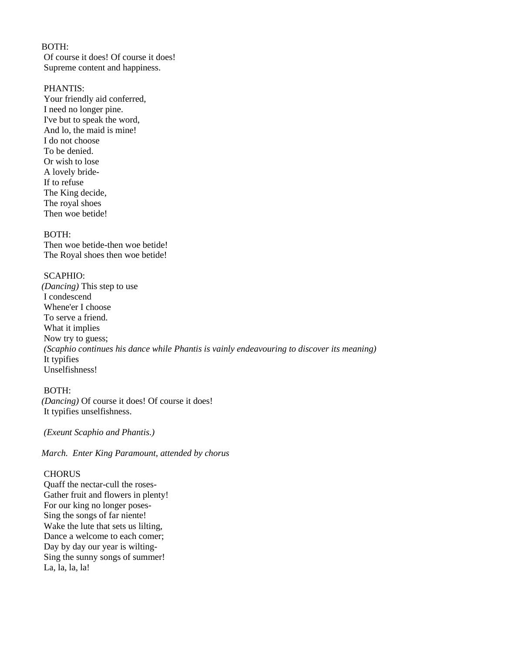## BOTH:

Of course it does! Of course it does! Supreme content and happiness.

#### PHANTIS:

Your friendly aid conferred, I need no longer pine. I've but to speak the word, And lo, the maid is mine! I do not choose To be denied. Or wish to lose A lovely bride-If to refuse The King decide, The royal shoes Then woe betide!

#### BOTH:

Then woe betide-then woe betide! The Royal shoes then woe betide!

#### SCAPHIO:

*(Dancing)* This step to use I condescend Whene'er I choose To serve a friend. What it implies Now try to guess; *(Scaphio continues his dance while Phantis is vainly endeavouring to discover its meaning)* It typifies Unselfishness!

#### BOTH:

*(Dancing)* Of course it does! Of course it does! It typifies unselfishness.

*(Exeunt Scaphio and Phantis.)*

*March. Enter King Paramount, attended by chorus*

## **CHORUS**

Quaff the nectar-cull the roses-Gather fruit and flowers in plenty! For our king no longer poses-Sing the songs of far niente! Wake the lute that sets us lilting, Dance a welcome to each comer; Day by day our year is wilting-Sing the sunny songs of summer! La, la, la, la!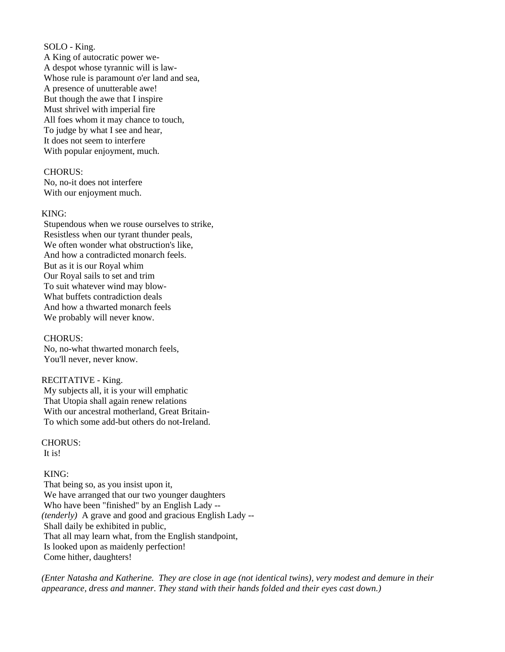SOLO - King.

A King of autocratic power we-A despot whose tyrannic will is law-Whose rule is paramount o'er land and sea, A presence of unutterable awe! But though the awe that I inspire Must shrivel with imperial fire All foes whom it may chance to touch, To judge by what I see and hear, It does not seem to interfere With popular enjoyment, much.

#### CHORUS:

No, no-it does not interfere With our enjoyment much.

#### KING:

Stupendous when we rouse ourselves to strike, Resistless when our tyrant thunder peals, We often wonder what obstruction's like, And how a contradicted monarch feels. But as it is our Royal whim Our Royal sails to set and trim To suit whatever wind may blow-What buffets contradiction deals And how a thwarted monarch feels We probably will never know.

#### CHORUS:

No, no-what thwarted monarch feels, You'll never, never know.

## RECITATIVE - King.

My subjects all, it is your will emphatic That Utopia shall again renew relations With our ancestral motherland, Great Britain-To which some add-but others do not-Ireland.

## CHORUS:

It is!

## KING:

That being so, as you insist upon it, We have arranged that our two younger daughters Who have been "finished" by an English Lady -- *(tenderly)* A grave and good and gracious English Lady -- Shall daily be exhibited in public, That all may learn what, from the English standpoint, Is looked upon as maidenly perfection! Come hither, daughters!

*(Enter Natasha and Katherine. They are close in age (not identical twins), very modest and demure in their appearance, dress and manner. They stand with their hands folded and their eyes cast down.)*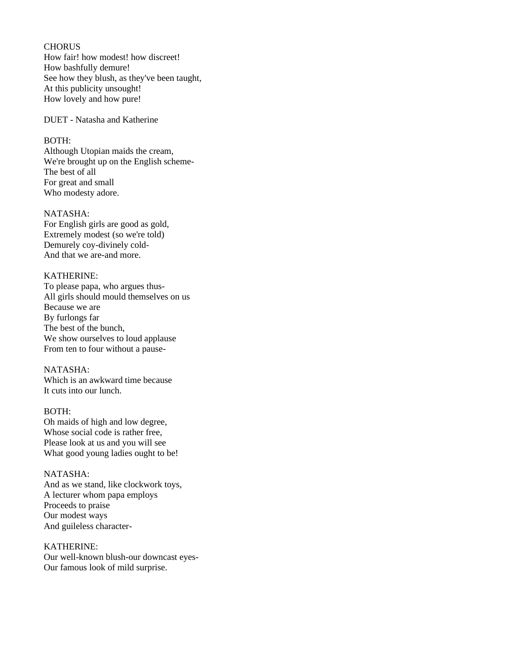## **CHORUS**

How fair! how modest! how discreet! How bashfully demure! See how they blush, as they've been taught, At this publicity unsought! How lovely and how pure!

DUET - Natasha and Katherine

#### BOTH:

Although Utopian maids the cream, We're brought up on the English scheme-The best of all For great and small Who modesty adore.

# NATASHA:

For English girls are good as gold, Extremely modest (so we're told) Demurely coy-divinely cold-And that we are-and more.

#### KATHERINE:

To please papa, who argues thus-All girls should mould themselves on us Because we are By furlongs far The best of the bunch, We show ourselves to loud applause From ten to four without a pause-

#### NATASHA:

Which is an awkward time because It cuts into our lunch.

#### BOTH:

Oh maids of high and low degree, Whose social code is rather free, Please look at us and you will see What good young ladies ought to be!

#### NATASHA:

And as we stand, like clockwork toys, A lecturer whom papa employs Proceeds to praise Our modest ways And guileless character-

KATHERINE: Our well-known blush-our downcast eyes-Our famous look of mild surprise.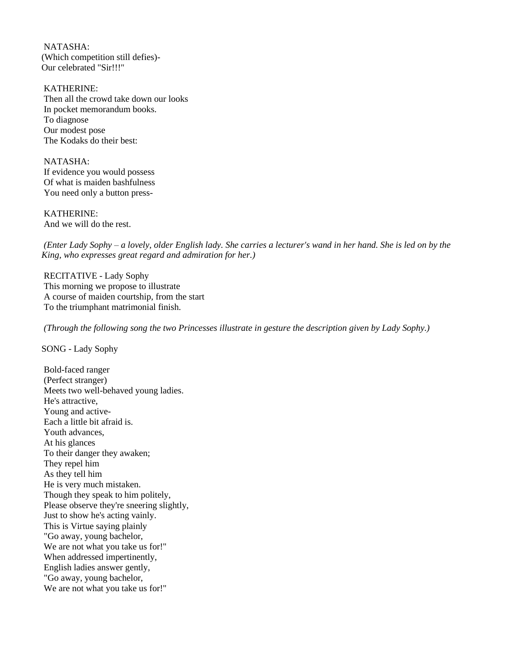NATASHA: (Which competition still defies)- Our celebrated "Sir!!!"

KATHERINE: Then all the crowd take down our looks In pocket memorandum books. To diagnose Our modest pose The Kodaks do their best:

NATASHA: If evidence you would possess Of what is maiden bashfulness You need only a button press-

KATHERINE: And we will do the rest.

*(Enter Lady Sophy – a lovely, older English lady. She carries a lecturer's wand in her hand. She is led on by the King, who expresses great regard and admiration for her.)*

RECITATIVE - Lady Sophy This morning we propose to illustrate A course of maiden courtship, from the start To the triumphant matrimonial finish.

*(Through the following song the two Princesses illustrate in gesture the description given by Lady Sophy.)*

SONG - Lady Sophy

Bold-faced ranger (Perfect stranger) Meets two well-behaved young ladies. He's attractive, Young and active-Each a little bit afraid is. Youth advances, At his glances To their danger they awaken; They repel him As they tell him He is very much mistaken. Though they speak to him politely, Please observe they're sneering slightly, Just to show he's acting vainly. This is Virtue saying plainly "Go away, young bachelor, We are not what you take us for!" When addressed impertinently, English ladies answer gently, "Go away, young bachelor, We are not what you take us for!"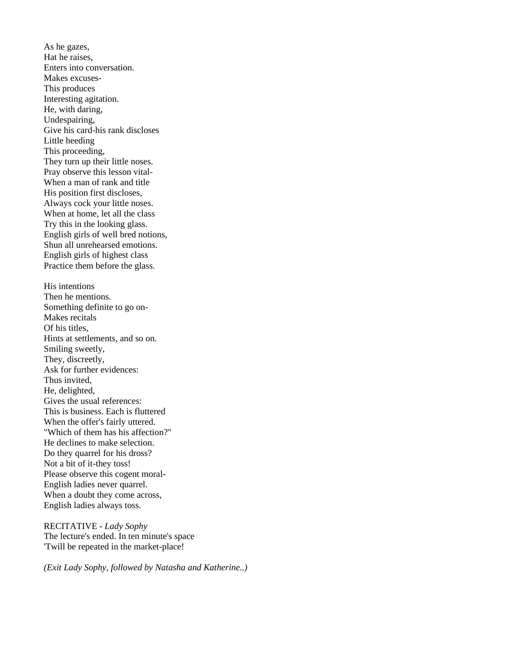As he gazes, Hat he raises, Enters into conversation. Makes excuses-This produces Interesting agitation. He, with daring, Undespairing, Give his card-his rank discloses Little heeding This proceeding, They turn up their little noses. Pray observe this lesson vital-When a man of rank and title His position first discloses, Always cock your little noses. When at home, let all the class Try this in the looking glass. English girls of well bred notions, Shun all unrehearsed emotions. English girls of highest class Practice them before the glass. His intentions Then he mentions. Something definite to go on-Makes recitals Of his titles, Hints at settlements, and so on. Smiling sweetly, They, discreetly, Ask for further evidences: Thus invited, He, delighted, Gives the usual references: This is business. Each is fluttered When the offer's fairly uttered. "Which of them has his affection?" He declines to make selection. Do they quarrel for his dross? Not a bit of it-they toss! Please observe this cogent moral-English ladies never quarrel. When a doubt they come across, English ladies always toss.

RECITATIVE - *Lady Sophy* The lecture's ended. In ten minute's space 'Twill be repeated in the market-place!

*(Exit Lady Sophy, followed by Natasha and Katherine..)*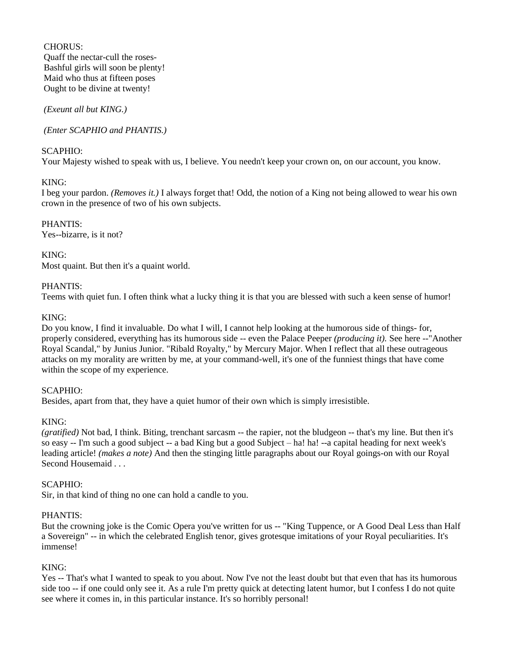CHORUS: Quaff the nectar-cull the roses-Bashful girls will soon be plenty! Maid who thus at fifteen poses Ought to be divine at twenty!

*(Exeunt all but KING.)*

*(Enter SCAPHIO and PHANTIS.)*

# SCAPHIO:

Your Majesty wished to speak with us, I believe. You needn't keep your crown on, on our account, you know.

# KING:

I beg your pardon. *(Removes it.)* I always forget that! Odd, the notion of a King not being allowed to wear his own crown in the presence of two of his own subjects.

PHANTIS: Yes--bizarre, is it not?

KING: Most quaint. But then it's a quaint world.

# PHANTIS:

Teems with quiet fun. I often think what a lucky thing it is that you are blessed with such a keen sense of humor!

# KING:

Do you know, I find it invaluable. Do what I will, I cannot help looking at the humorous side of things- for, properly considered, everything has its humorous side -- even the Palace Peeper *(producing it).* See here --"Another Royal Scandal," by Junius Junior. "Ribald Royalty," by Mercury Major. When I reflect that all these outrageous attacks on my morality are written by me, at your command-well, it's one of the funniest things that have come within the scope of my experience.

## SCAPHIO:

Besides, apart from that, they have a quiet humor of their own which is simply irresistible.

## KING:

*(gratified)* Not bad, I think. Biting, trenchant sarcasm -- the rapier, not the bludgeon -- that's my line. But then it's so easy -- I'm such a good subject -- a bad King but a good Subject – ha! ha! --a capital heading for next week's leading article! *(makes a note)* And then the stinging little paragraphs about our Royal goings-on with our Royal Second Housemaid . . .

## SCAPHIO:

Sir, in that kind of thing no one can hold a candle to you.

## PHANTIS:

But the crowning joke is the Comic Opera you've written for us -- "King Tuppence, or A Good Deal Less than Half a Sovereign" -- in which the celebrated English tenor, gives grotesque imitations of your Royal peculiarities. It's immense!

# KING:

Yes -- That's what I wanted to speak to you about. Now I've not the least doubt but that even that has its humorous side too -- if one could only see it. As a rule I'm pretty quick at detecting latent humor, but I confess I do not quite see where it comes in, in this particular instance. It's so horribly personal!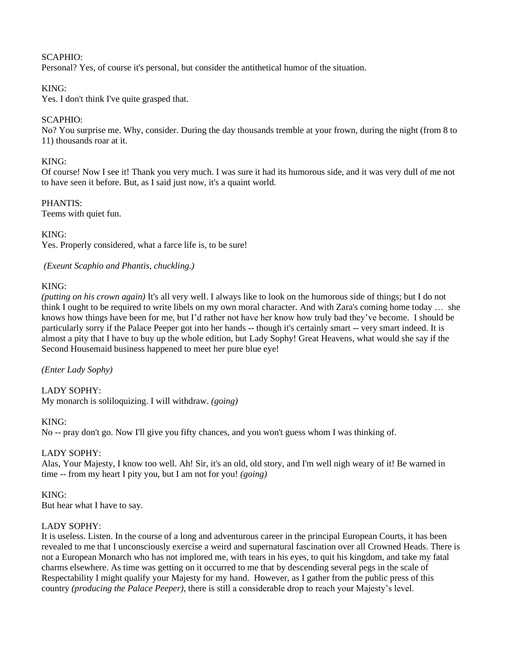# SCAPHIO:

Personal? Yes, of course it's personal, but consider the antithetical humor of the situation.

# KING:

Yes. I don't think I've quite grasped that.

# SCAPHIO:

No? You surprise me. Why, consider. During the day thousands tremble at your frown, during the night (from 8 to 11) thousands roar at it.

# KING:

Of course! Now I see it! Thank you very much. I was sure it had its humorous side, and it was very dull of me not to have seen it before. But, as I said just now, it's a quaint world.

# PHANTIS:

Teems with quiet fun.

KING:

Yes. Properly considered, what a farce life is, to be sure!

*(Exeunt Scaphio and Phantis, chuckling.)*

# KING:

*(putting on his crown again)* It's all very well. I always like to look on the humorous side of things; but I do not think I ought to be required to write libels on my own moral character. And with Zara's coming home today … she knows how things have been for me, but I'd rather not have her know how truly bad they've become. I should be particularly sorry if the Palace Peeper got into her hands -- though it's certainly smart -- very smart indeed. It is almost a pity that I have to buy up the whole edition, but Lady Sophy! Great Heavens, what would she say if the Second Housemaid business happened to meet her pure blue eye!

*(Enter Lady Sophy)*

LADY SOPHY: My monarch is soliloquizing. I will withdraw. *(going)*

## KING:

No -- pray don't go. Now I'll give you fifty chances, and you won't guess whom I was thinking of.

# LADY SOPHY:

Alas, Your Majesty, I know too well. Ah! Sir, it's an old, old story, and I'm well nigh weary of it! Be warned in time -- from my heart I pity you, but I am not for you! *(going)*

KING: But hear what I have to say.

## LADY SOPHY:

It is useless. Listen. In the course of a long and adventurous career in the principal European Courts, it has been revealed to me that I unconsciously exercise a weird and supernatural fascination over all Crowned Heads. There is not a European Monarch who has not implored me, with tears in his eyes, to quit his kingdom, and take my fatal charms elsewhere. As time was getting on it occurred to me that by descending several pegs in the scale of Respectability I might qualify your Majesty for my hand. However, as I gather from the public press of this country *(producing the Palace Peeper),* there is still a considerable drop to reach your Majesty's level.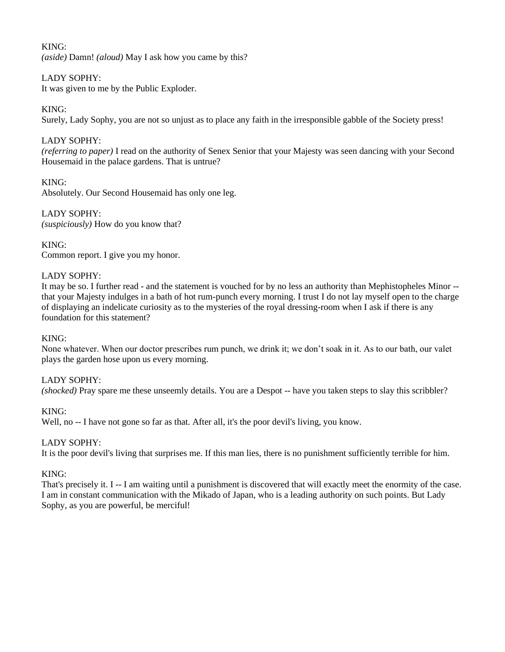# KING:

*(aside)* Damn! *(aloud)* May I ask how you came by this?

# LADY SOPHY:

It was given to me by the Public Exploder.

# KING:

Surely, Lady Sophy, you are not so unjust as to place any faith in the irresponsible gabble of the Society press!

# LADY SOPHY:

*(referring to paper)* I read on the authority of Senex Senior that your Majesty was seen dancing with your Second Housemaid in the palace gardens. That is untrue?

# KING:

Absolutely. Our Second Housemaid has only one leg.

LADY SOPHY: *(suspiciously)* How do you know that?

## KING:

Common report. I give you my honor.

## LADY SOPHY:

It may be so. I further read - and the statement is vouched for by no less an authority than Mephistopheles Minor - that your Majesty indulges in a bath of hot rum-punch every morning. I trust I do not lay myself open to the charge of displaying an indelicate curiosity as to the mysteries of the royal dressing-room when I ask if there is any foundation for this statement?

#### KING:

None whatever. When our doctor prescribes rum punch, we drink it; we don't soak in it. As to our bath, our valet plays the garden hose upon us every morning.

## LADY SOPHY:

*(shocked)* Pray spare me these unseemly details. You are a Despot -- have you taken steps to slay this scribbler?

## KING:

Well, no -- I have not gone so far as that. After all, it's the poor devil's living, you know.

## LADY SOPHY:

It is the poor devil's living that surprises me. If this man lies, there is no punishment sufficiently terrible for him.

## KING:

That's precisely it. I -- I am waiting until a punishment is discovered that will exactly meet the enormity of the case. I am in constant communication with the Mikado of Japan, who is a leading authority on such points. But Lady Sophy, as you are powerful, be merciful!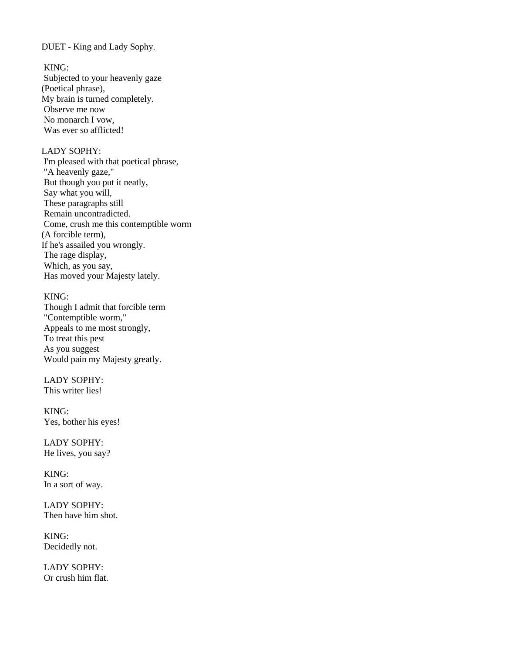DUET - King and Lady Sophy.

KING:

Subjected to your heavenly gaze (Poetical phrase), My brain is turned completely. Observe me now No monarch I vow, Was ever so afflicted!

## LADY SOPHY:

I'm pleased with that poetical phrase, "A heavenly gaze," But though you put it neatly, Say what you will, These paragraphs still Remain uncontradicted. Come, crush me this contemptible worm (A forcible term), If he's assailed you wrongly. The rage display, Which, as you say, Has moved your Majesty lately.

#### KING:

Though I admit that forcible term "Contemptible worm," Appeals to me most strongly, To treat this pest As you suggest Would pain my Majesty greatly.

LADY SOPHY: This writer lies!

KING: Yes, bother his eyes!

LADY SOPHY: He lives, you say?

KING: In a sort of way.

LADY SOPHY: Then have him shot.

KING: Decidedly not.

LADY SOPHY: Or crush him flat.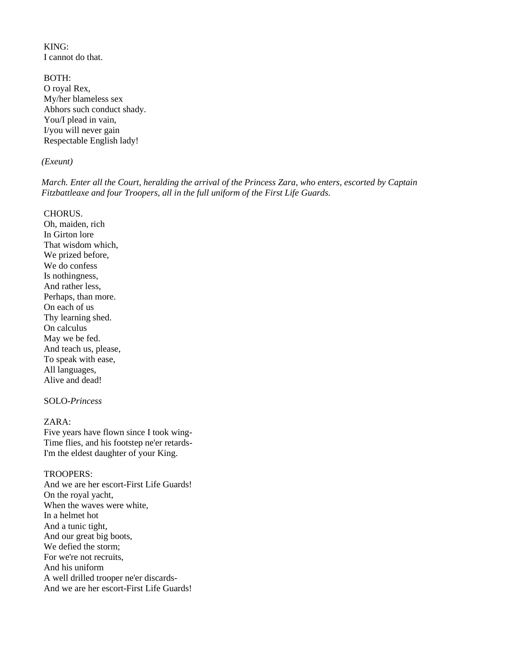KING: I cannot do that.

BOTH: O royal Rex, My/her blameless sex Abhors such conduct shady. You/I plead in vain, I/you will never gain Respectable English lady!

#### *(Exeunt)*

*March. Enter all the Court, heralding the arrival of the Princess Zara, who enters, escorted by Captain Fitzbattleaxe and four Troopers, all in the full uniform of the First Life Guards.*

CHORUS.

Oh, maiden, rich In Girton lore That wisdom which, We prized before, We do confess Is nothingness, And rather less, Perhaps, than more. On each of us Thy learning shed. On calculus May we be fed. And teach us, please, To speak with ease, All languages, Alive and dead!

# SOLO-*Princess*

## ZARA:

Five years have flown since I took wing-Time flies, and his footstep ne'er retards-I'm the eldest daughter of your King.

#### TROOPERS:

And we are her escort-First Life Guards! On the royal yacht, When the waves were white, In a helmet hot And a tunic tight, And our great big boots, We defied the storm; For we're not recruits, And his uniform A well drilled trooper ne'er discards-And we are her escort-First Life Guards!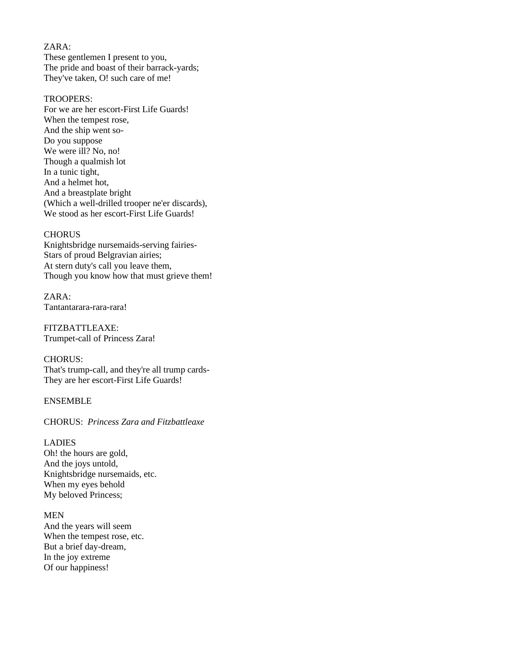# ZARA:

These gentlemen I present to you, The pride and boast of their barrack-yards; They've taken, O! such care of me!

## TROOPERS:

For we are her escort-First Life Guards! When the tempest rose, And the ship went so-Do you suppose We were ill? No, no! Though a qualmish lot In a tunic tight, And a helmet hot, And a breastplate bright (Which a well-drilled trooper ne'er discards), We stood as her escort-First Life Guards!

#### **CHORUS**

Knightsbridge nursemaids-serving fairies-Stars of proud Belgravian airies; At stern duty's call you leave them, Though you know how that must grieve them!

ZARA: Tantantarara-rara-rara!

FITZBATTLEAXE: Trumpet-call of Princess Zara!

CHORUS: That's trump-call, and they're all trump cards-They are her escort-First Life Guards!

## ENSEMBLE

# CHORUS: *Princess Zara and Fitzbattleaxe*

LADIES Oh! the hours are gold, And the joys untold, Knightsbridge nursemaids, etc. When my eyes behold My beloved Princess;

#### MEN

And the years will seem When the tempest rose, etc. But a brief day-dream, In the joy extreme Of our happiness!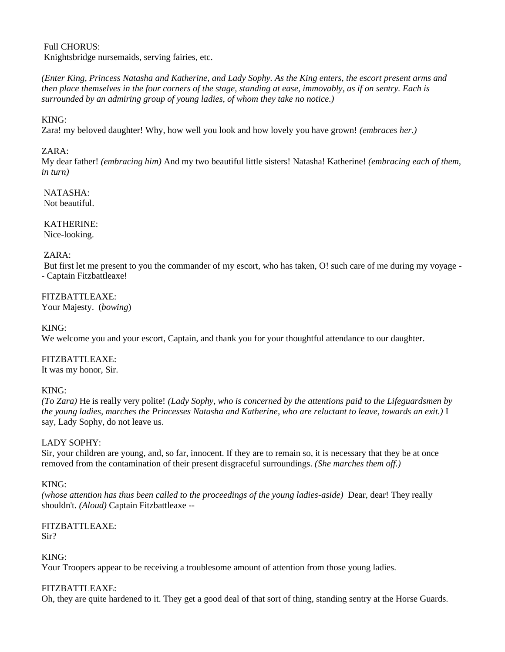Full CHORUS: Knightsbridge nursemaids, serving fairies, etc.

*(Enter King, Princess Natasha and Katherine, and Lady Sophy. As the King enters, the escort present arms and then place themselves in the four corners of the stage, standing at ease, immovably, as if on sentry. Each is surrounded by an admiring group of young ladies, of whom they take no notice.)*

KING:

Zara! my beloved daughter! Why, how well you look and how lovely you have grown! *(embraces her.)*

# ZARA:

My dear father! *(embracing him)* And my two beautiful little sisters! Natasha! Katherine! *(embracing each of them, in turn)*

NATASHA: Not beautiful.

KATHERINE: Nice-looking.

## ZARA:

But first let me present to you the commander of my escort, who has taken, O! such care of me during my voyage -- Captain Fitzbattleaxe!

FITZBATTLEAXE: Your Majesty. (*bowing*)

KING:

We welcome you and your escort, Captain, and thank you for your thoughtful attendance to our daughter.

FITZBATTLEAXE: It was my honor, Sir.

## KING:

*(To Zara)* He is really very polite! *(Lady Sophy, who is concerned by the attentions paid to the Lifeguardsmen by the young ladies, marches the Princesses Natasha and Katherine, who are reluctant to leave, towards an exit.)* I say, Lady Sophy, do not leave us.

## LADY SOPHY:

Sir, your children are young, and, so far, innocent. If they are to remain so, it is necessary that they be at once removed from the contamination of their present disgraceful surroundings. *(She marches them off.)*

## KING:

*(whose attention has thus been called to the proceedings of the young ladies-aside)* Dear, dear! They really shouldn't. *(Aloud)* Captain Fitzbattleaxe --

# FITZBATTLEAXE:

Sir?

# KING:

Your Troopers appear to be receiving a troublesome amount of attention from those young ladies.

# FITZBATTLEAXE:

Oh, they are quite hardened to it. They get a good deal of that sort of thing, standing sentry at the Horse Guards.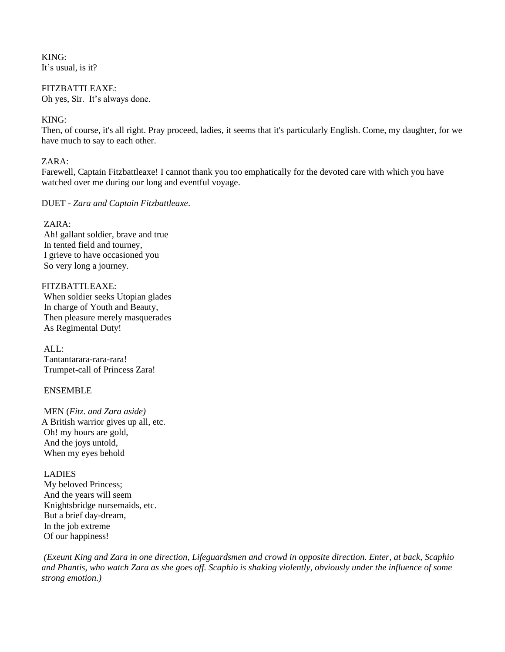KING: It's usual, is it?

FITZBATTLEAXE: Oh yes, Sir. It's always done.

## KING:

Then, of course, it's all right. Pray proceed, ladies, it seems that it's particularly English. Come, my daughter, for we have much to say to each other.

#### $ZARA$

Farewell, Captain Fitzbattleaxe! I cannot thank you too emphatically for the devoted care with which you have watched over me during our long and eventful voyage.

DUET - *Zara and Captain Fitzbattleaxe*.

#### ZARA:

Ah! gallant soldier, brave and true In tented field and tourney, I grieve to have occasioned you So very long a journey.

#### FITZBATTLEAXE:

When soldier seeks Utopian glades In charge of Youth and Beauty, Then pleasure merely masquerades As Regimental Duty!

 $AI.$ : Tantantarara-rara-rara! Trumpet-call of Princess Zara!

## ENSEMBLE

MEN (*Fitz. and Zara aside)* A British warrior gives up all, etc. Oh! my hours are gold, And the joys untold, When my eyes behold

#### LADIES

My beloved Princess; And the years will seem Knightsbridge nursemaids, etc. But a brief day-dream, In the job extreme Of our happiness!

*(Exeunt King and Zara in one direction, Lifeguardsmen and crowd in opposite direction. Enter, at back, Scaphio and Phantis, who watch Zara as she goes off. Scaphio is shaking violently, obviously under the influence of some strong emotion.)*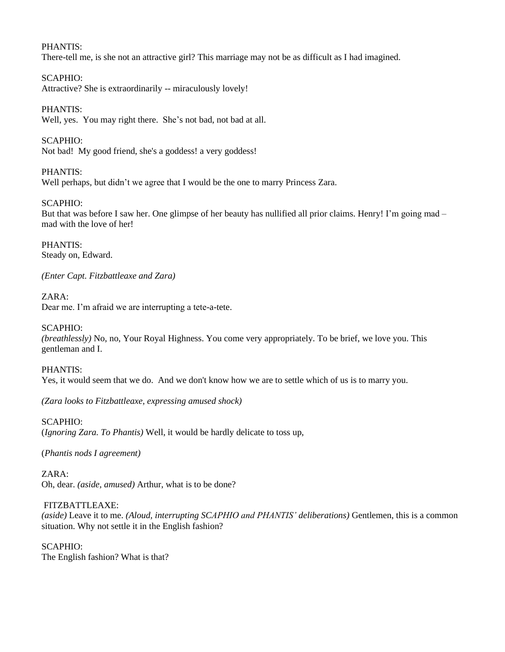## PHANTIS:

There-tell me, is she not an attractive girl? This marriage may not be as difficult as I had imagined.

# SCAPHIO:

Attractive? She is extraordinarily -- miraculously lovely!

# PHANTIS:

Well, yes. You may right there. She's not bad, not bad at all.

# SCAPHIO:

Not bad! My good friend, she's a goddess! a very goddess!

# PHANTIS:

Well perhaps, but didn't we agree that I would be the one to marry Princess Zara.

# SCAPHIO:

But that was before I saw her. One glimpse of her beauty has nullified all prior claims. Henry! I'm going mad – mad with the love of her!

PHANTIS: Steady on, Edward.

*(Enter Capt. Fitzbattleaxe and Zara)*

#### ZARA: Dear me. I'm afraid we are interrupting a tete-a-tete.

# SCAPHIO:

*(breathlessly)* No, no, Your Royal Highness. You come very appropriately. To be brief, we love you. This gentleman and I.

## PHANTIS:

Yes, it would seem that we do. And we don't know how we are to settle which of us is to marry you.

*(Zara looks to Fitzbattleaxe, expressing amused shock)*

## SCAPHIO:

(*Ignoring Zara. To Phantis)* Well, it would be hardly delicate to toss up,

(*Phantis nods I agreement)*

 $ZARA$ Oh, dear. *(aside, amused)* Arthur, what is to be done?

# FITZBATTLEAXE:

*(aside)* Leave it to me. *(Aloud, interrupting SCAPHIO and PHANTIS' deliberations)* Gentlemen, this is a common situation. Why not settle it in the English fashion?

## SCAPHIO:

The English fashion? What is that?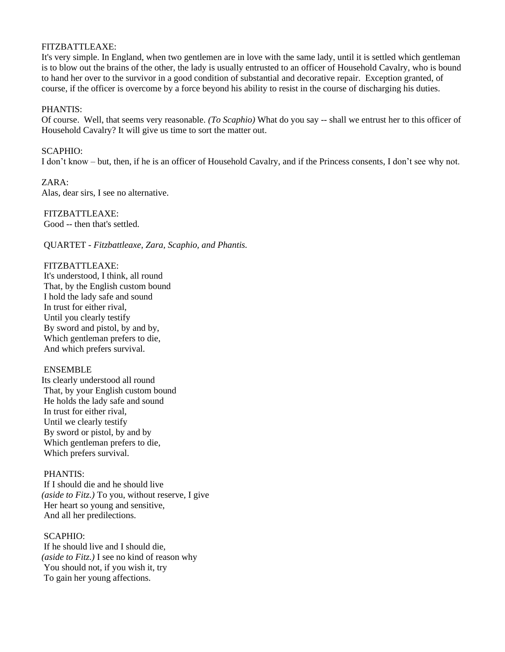#### FITZBATTLEAXE:

It's very simple. In England, when two gentlemen are in love with the same lady, until it is settled which gentleman is to blow out the brains of the other, the lady is usually entrusted to an officer of Household Cavalry, who is bound to hand her over to the survivor in a good condition of substantial and decorative repair. Exception granted, of course, if the officer is overcome by a force beyond his ability to resist in the course of discharging his duties.

#### PHANTIS:

Of course. Well, that seems very reasonable. *(To Scaphio)* What do you say -- shall we entrust her to this officer of Household Cavalry? It will give us time to sort the matter out.

## SCAPHIO:

I don't know – but, then, if he is an officer of Household Cavalry, and if the Princess consents, I don't see why not.

ZARA: Alas, dear sirs, I see no alternative.

# FITZBATTLEAXE:

Good -- then that's settled.

QUARTET - *Fitzbattleaxe, Zara, Scaphio, and Phantis.*

#### FITZBATTLEAXE:

It's understood, I think, all round That, by the English custom bound I hold the lady safe and sound In trust for either rival, Until you clearly testify By sword and pistol, by and by, Which gentleman prefers to die, And which prefers survival.

#### ENSEMBLE

Its clearly understood all round That, by your English custom bound He holds the lady safe and sound In trust for either rival, Until we clearly testify By sword or pistol, by and by Which gentleman prefers to die, Which prefers survival.

#### PHANTIS:

If I should die and he should live *(aside to Fitz.)* To you, without reserve, I give Her heart so young and sensitive, And all her predilections.

#### SCAPHIO:

If he should live and I should die, *(aside to Fitz.)* I see no kind of reason why You should not, if you wish it, try To gain her young affections.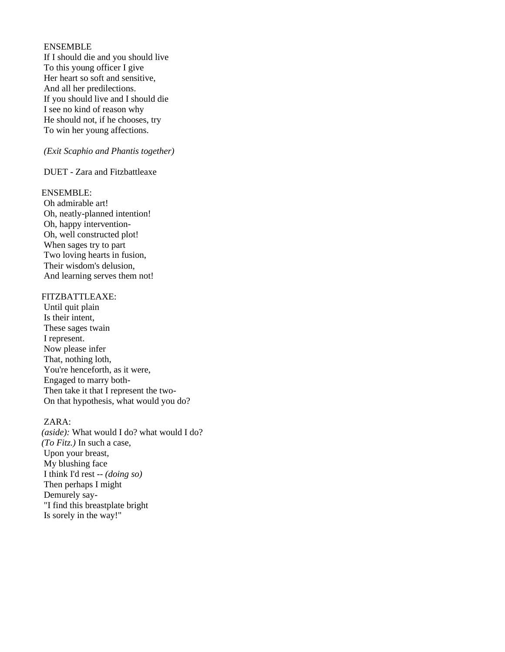#### ENSEMBLE

If I should die and you should live To this young officer I give Her heart so soft and sensitive, And all her predilections. If you should live and I should die I see no kind of reason why He should not, if he chooses, try To win her young affections.

## *(Exit Scaphio and Phantis together)*

DUET - Zara and Fitzbattleaxe

#### ENSEMBLE:

Oh admirable art! Oh, neatly-planned intention! Oh, happy intervention-Oh, well constructed plot! When sages try to part Two loving hearts in fusion, Their wisdom's delusion, And learning serves them not!

#### FITZBATTLEAXE:

Until quit plain Is their intent, These sages twain I represent. Now please infer That, nothing loth, You're henceforth, as it were, Engaged to marry both-Then take it that I represent the two-On that hypothesis, what would you do?

## ZARA:

*(aside):* What would I do? what would I do? *(To Fitz.)* In such a case, Upon your breast, My blushing face I think I'd rest *-- (doing so)* Then perhaps I might Demurely say- "I find this breastplate bright Is sorely in the way!"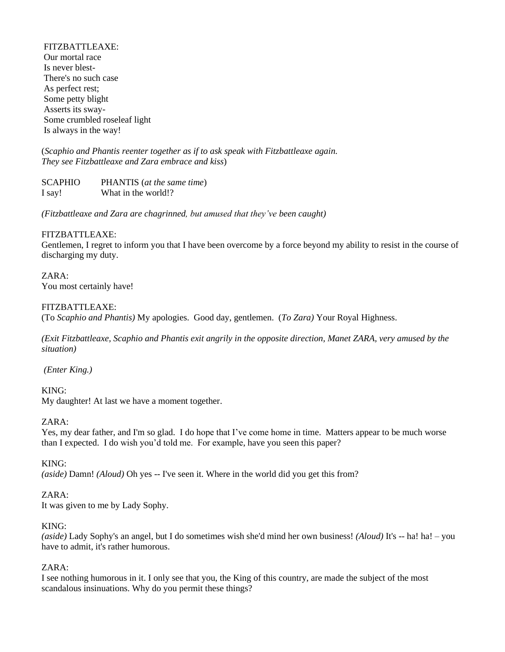FITZBATTLEAXE: Our mortal race Is never blest-There's no such case As perfect rest; Some petty blight Asserts its sway-Some crumbled roseleaf light Is always in the way!

(*Scaphio and Phantis reenter together as if to ask speak with Fitzbattleaxe again. They see Fitzbattleaxe and Zara embrace and kiss*)

SCAPHIO PHANTIS (*at the same time*) I say! What in the world!?

*(Fitzbattleaxe and Zara are chagrinned, but amused that they've been caught)*

## FITZBATTLEAXE:

Gentlemen, I regret to inform you that I have been overcome by a force beyond my ability to resist in the course of discharging my duty.

ZARA: You most certainly have!

## FITZBATTLEAXE:

(To *Scaphio and Phantis)* My apologies. Good day, gentlemen. (*To Zara)* Your Royal Highness.

*(Exit Fitzbattleaxe, Scaphio and Phantis exit angrily in the opposite direction, Manet ZARA, very amused by the situation)*

*(Enter King.)*

KING: My daughter! At last we have a moment together.

## ZARA:

Yes, my dear father, and I'm so glad. I do hope that I've come home in time. Matters appear to be much worse than I expected. I do wish you'd told me. For example, have you seen this paper?

## KING:

*(aside)* Damn! *(Aloud)* Oh yes -- I've seen it. Where in the world did you get this from?

## ZARA:

It was given to me by Lady Sophy.

#### KING:

*(aside)* Lady Sophy's an angel, but I do sometimes wish she'd mind her own business! *(Aloud)* It's -- ha! ha! – you have to admit, it's rather humorous.

## ZARA:

I see nothing humorous in it. I only see that you, the King of this country, are made the subject of the most scandalous insinuations. Why do you permit these things?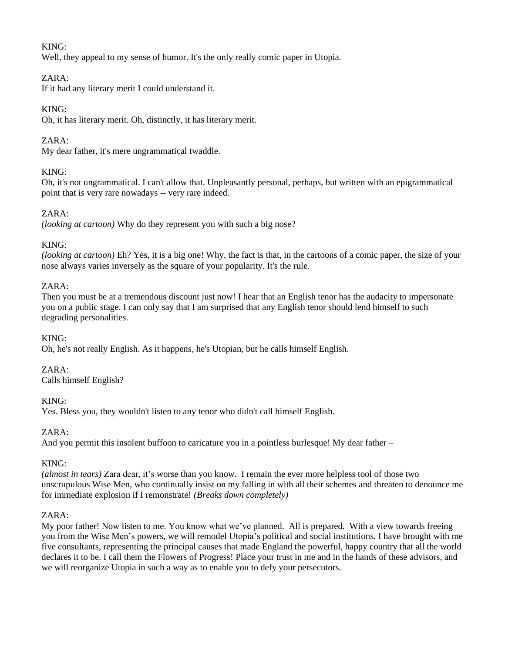# KING:

Well, they appeal to my sense of humor. It's the only really comic paper in Utopia.

# ZARA:

If it had any literary merit I could understand it.

# KING:

Oh, it has literary merit. Oh, distinctly, it has literary merit.

# ZARA:

My dear father, it's mere ungrammatical twaddle.

# KING:

Oh, it's not ungrammatical. I can't allow that. Unpleasantly personal, perhaps, but written with an epigrammatical point that is very rare nowadays -- very rare indeed.

# ZARA:

*(looking at cartoon)* Why do they represent you with such a big nose?

# KING:

*(looking at cartoon)* Eh? Yes, it is a big one! Why, the fact is that, in the cartoons of a comic paper, the size of your nose always varies inversely as the square of your popularity. It's the rule.

# ZARA:

Then you must be at a tremendous discount just now! I hear that an English tenor has the audacity to impersonate you on a public stage. I can only say that I am surprised that any English tenor should lend himself to such degrading personalities.

## KING:

Oh, he's not really English. As it happens, he's Utopian, but he calls himself English.

## ZARA:

Calls himself English?

## KING:

Yes. Bless you, they wouldn't listen to any tenor who didn't call himself English.

## ZARA:

And you permit this insolent buffoon to caricature you in a pointless burlesque! My dear father –

## KING:

*(almost in tears)* Zara dear, it's worse than you know. I remain the ever more helpless tool of those two unscrupulous Wise Men, who continually insist on my falling in with all their schemes and threaten to denounce me for immediate explosion if I remonstrate! *(Breaks down completely)*

## ZARA:

My poor father! Now listen to me. You know what we've planned. All is prepared. With a view towards freeing you from the Wise Men's powers, we will remodel Utopia's political and social institutions. I have brought with me five consultants, representing the principal causes that made England the powerful, happy country that all the world declares it to be. I call them the Flowers of Progress! Place your trust in me and in the hands of these advisors, and we will reorganize Utopia in such a way as to enable you to defy your persecutors.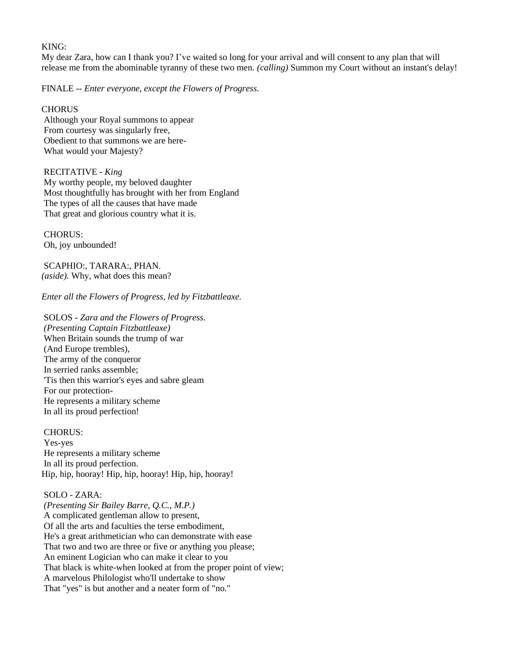#### KING:

My dear Zara, how can I thank you? I've waited so long for your arrival and will consent to any plan that will release me from the abominable tyranny of these two men. *(calling)* Summon my Court without an instant's delay!

FINALE -- *Enter everyone, except the Flowers of Progress.*

#### **CHORUS**

Although your Royal summons to appear From courtesy was singularly free, Obedient to that summons we are here-What would your Majesty?

#### RECITATIVE - *King*

My worthy people, my beloved daughter Most thoughtfully has brought with her from England The types of all the causes that have made That great and glorious country what it is.

CHORUS: Oh, joy unbounded!

SCAPHIO:, TARARA:, PHAN. *(aside).* Why, what does this mean?

*Enter all the Flowers of Progress, led by Fitzbattleaxe.*

SOLOS *- Zara and the Flowers of Progress. (Presenting Captain Fitzbattleaxe)* When Britain sounds the trump of war (And Europe trembles), The army of the conqueror In serried ranks assemble; 'Tis then this warrior's eyes and sabre gleam For our protection-He represents a military scheme In all its proud perfection!

CHORUS: Yes-yes He represents a military scheme In all its proud perfection. Hip, hip, hooray! Hip, hip, hooray! Hip, hip, hooray!

# SOLO - ZARA:

*(Presenting Sir Bailey Barre, Q.C., M.P.)* A complicated gentleman allow to present, Of all the arts and faculties the terse embodiment, He's a great arithmetician who can demonstrate with ease That two and two are three or five or anything you please; An eminent Logician who can make it clear to you That black is white-when looked at from the proper point of view; A marvelous Philologist who'll undertake to show That "yes" is but another and a neater form of "no."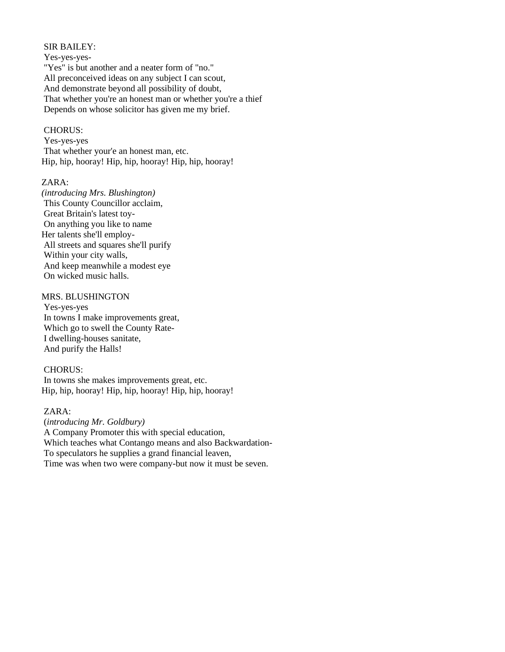## SIR BAILEY:

Yes-yes-yes- "Yes" is but another and a neater form of "no." All preconceived ideas on any subject I can scout, And demonstrate beyond all possibility of doubt, That whether you're an honest man or whether you're a thief Depends on whose solicitor has given me my brief.

#### CHORUS:

Yes-yes-yes That whether your'e an honest man, etc. Hip, hip, hooray! Hip, hip, hooray! Hip, hip, hooray!

# ZARA:

*(introducing Mrs. Blushington)* This County Councillor acclaim, Great Britain's latest toy-On anything you like to name Her talents she'll employ-All streets and squares she'll purify Within your city walls, And keep meanwhile a modest eye On wicked music halls.

## MRS. BLUSHINGTON

Yes-yes-yes In towns I make improvements great, Which go to swell the County Rate-I dwelling-houses sanitate, And purify the Halls!

## CHORUS:

In towns she makes improvements great, etc. Hip, hip, hooray! Hip, hip, hooray! Hip, hip, hooray!

## ZARA:

(*introducing Mr. Goldbury)* A Company Promoter this with special education, Which teaches what Contango means and also Backwardation-To speculators he supplies a grand financial leaven, Time was when two were company-but now it must be seven.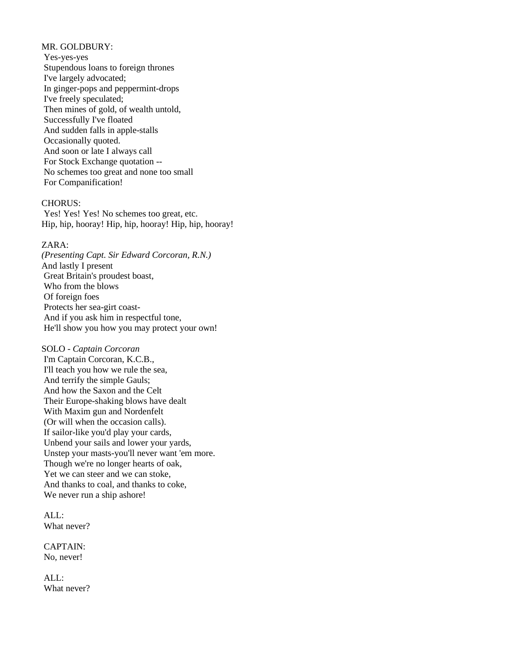## MR. GOLDBURY:

Yes-yes-yes Stupendous loans to foreign thrones I've largely advocated; In ginger-pops and peppermint-drops I've freely speculated; Then mines of gold, of wealth untold, Successfully I've floated And sudden falls in apple-stalls Occasionally quoted. And soon or late I always call For Stock Exchange quotation -- No schemes too great and none too small For Companification!

#### CHORUS:

Yes! Yes! Yes! No schemes too great, etc. Hip, hip, hooray! Hip, hip, hooray! Hip, hip, hooray!

# ZARA:

*(Presenting Capt. Sir Edward Corcoran, R.N.)* And lastly I present Great Britain's proudest boast, Who from the blows Of foreign foes Protects her sea-girt coast-And if you ask him in respectful tone, He'll show you how you may protect your own!

#### SOLO - *Captain Corcoran*

I'm Captain Corcoran, K.C.B., I'll teach you how we rule the sea, And terrify the simple Gauls; And how the Saxon and the Celt Their Europe-shaking blows have dealt With Maxim gun and Nordenfelt (Or will when the occasion calls). If sailor-like you'd play your cards, Unbend your sails and lower your yards, Unstep your masts-you'll never want 'em more. Though we're no longer hearts of oak, Yet we can steer and we can stoke, And thanks to coal, and thanks to coke, We never run a ship ashore!

 $AI.L$ : What never?

CAPTAIN: No, never!

 $AI.$ : What never?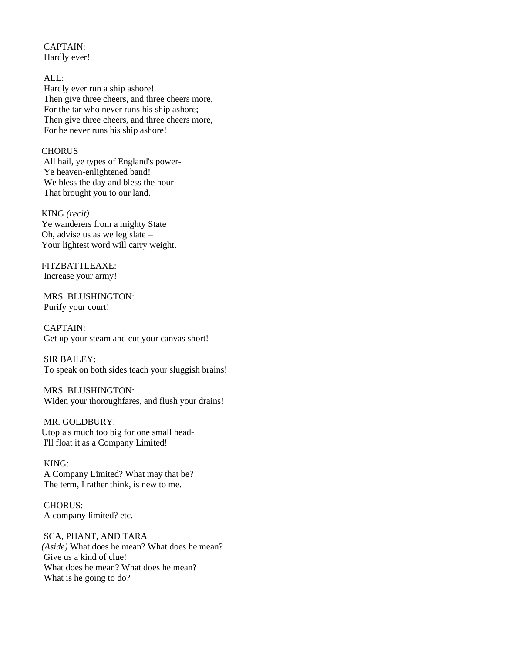CAPTAIN: Hardly ever!

ALL: Hardly ever run a ship ashore! Then give three cheers, and three cheers more, For the tar who never runs his ship ashore; Then give three cheers, and three cheers more, For he never runs his ship ashore!

#### **CHORUS**

All hail, ye types of England's power-Ye heaven-enlightened band! We bless the day and bless the hour That brought you to our land.

# KING *(recit)*

Ye wanderers from a mighty State Oh, advise us as we legislate – Your lightest word will carry weight.

FITZBATTLEAXE: Increase your army!

MRS. BLUSHINGTON: Purify your court!

CAPTAIN: Get up your steam and cut your canvas short!

SIR BAILEY: To speak on both sides teach your sluggish brains!

MRS. BLUSHINGTON: Widen your thoroughfares, and flush your drains!

MR. GOLDBURY: Utopia's much too big for one small head-I'll float it as a Company Limited!

KING: A Company Limited? What may that be? The term, I rather think, is new to me.

CHORUS: A company limited? etc.

SCA, PHANT, AND TARA *(Aside)* What does he mean? What does he mean? Give us a kind of clue! What does he mean? What does he mean? What is he going to do?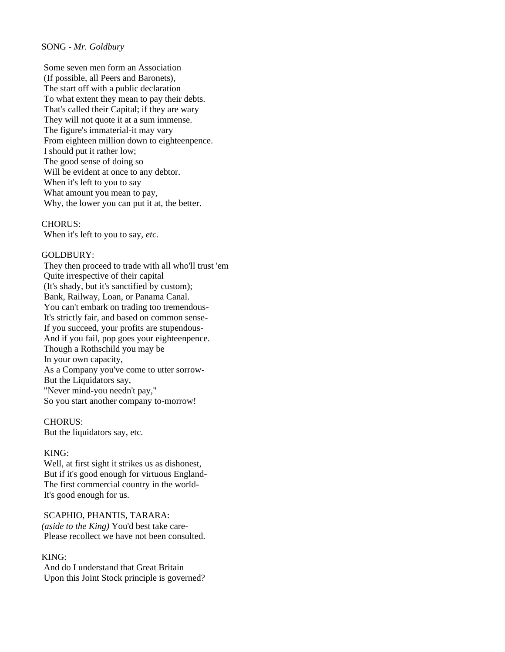#### SONG - *Mr. Goldbury*

Some seven men form an Association (If possible, all Peers and Baronets), The start off with a public declaration To what extent they mean to pay their debts. That's called their Capital; if they are wary They will not quote it at a sum immense. The figure's immaterial-it may vary From eighteen million down to eighteenpence. I should put it rather low; The good sense of doing so Will be evident at once to any debtor. When it's left to you to say What amount you mean to pay, Why, the lower you can put it at, the better.

CHORUS: When it's left to you to say, *etc.*

#### GOLDBURY:

They then proceed to trade with all who'll trust 'em Quite irrespective of their capital (It's shady, but it's sanctified by custom); Bank, Railway, Loan, or Panama Canal. You can't embark on trading too tremendous-It's strictly fair, and based on common sense-If you succeed, your profits are stupendous-And if you fail, pop goes your eighteenpence. Though a Rothschild you may be In your own capacity, As a Company you've come to utter sorrow-But the Liquidators say, "Never mind-you needn't pay," So you start another company to-morrow!

CHORUS: But the liquidators say, etc.

#### KING:

Well, at first sight it strikes us as dishonest, But if it's good enough for virtuous England-The first commercial country in the world-It's good enough for us.

SCAPHIO, PHANTIS, TARARA: *(aside to the King)* You'd best take care-Please recollect we have not been consulted.

## KING:

And do I understand that Great Britain Upon this Joint Stock principle is governed?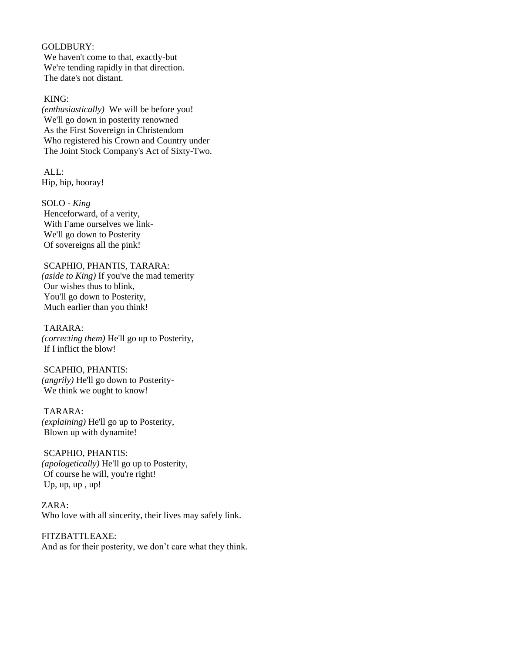#### GOLDBURY:

We haven't come to that, exactly-but We're tending rapidly in that direction. The date's not distant.

## KING:

*(enthusiastically)* We will be before you! We'll go down in posterity renowned As the First Sovereign in Christendom Who registered his Crown and Country under The Joint Stock Company's Act of Sixty-Two.

ALL: Hip, hip, hooray!

SOLO - *King* Henceforward, of a verity, With Fame ourselves we link-We'll go down to Posterity Of sovereigns all the pink!

## SCAPHIO, PHANTIS, TARARA:

*(aside to King)* If you've the mad temerity Our wishes thus to blink, You'll go down to Posterity, Much earlier than you think!

TARARA: *(correcting them)* He'll go up to Posterity, If I inflict the blow!

#### SCAPHIO, PHANTIS:

*(angrily)* He'll go down to Posterity-We think we ought to know!

TARARA: *(explaining)* He'll go up to Posterity, Blown up with dynamite!

# SCAPHIO, PHANTIS: *(apologetically)* He'll go up to Posterity, Of course he will, you're right! Up, up, up, up!

ZARA: Who love with all sincerity, their lives may safely link.

FITZBATTLEAXE: And as for their posterity, we don't care what they think.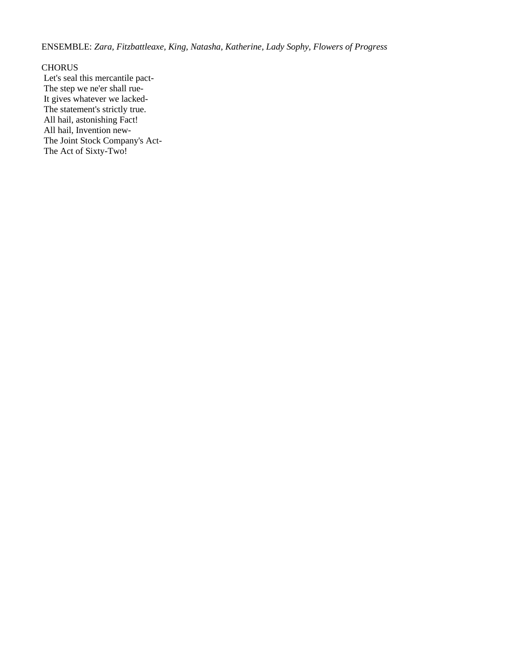ENSEMBLE: *Zara, Fitzbattleaxe, King, Natasha, Katherine, Lady Sophy, Flowers of Progress*

#### CHORUS

Let's seal this mercantile pact-The step we ne'er shall rue-It gives whatever we lacked-The statement's strictly true. All hail, astonishing Fact! All hail, Invention new-The Joint Stock Company's Act-The Act of Sixty-Two!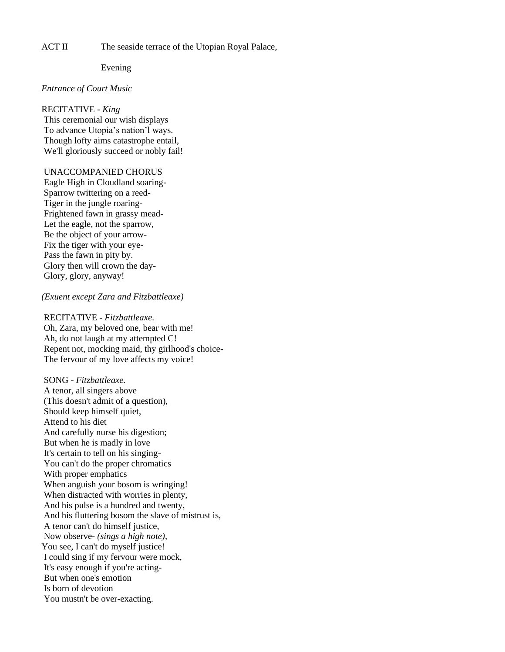ACT II The seaside terrace of the Utopian Royal Palace,

Evening

#### *Entrance of Court Music*

#### RECITATIVE - *King*

This ceremonial our wish displays To advance Utopia's nation'l ways. Though lofty aims catastrophe entail, We'll gloriously succeed or nobly fail!

## UNACCOMPANIED CHORUS

Eagle High in Cloudland soaring-Sparrow twittering on a reed-Tiger in the jungle roaring-Frightened fawn in grassy mead-Let the eagle, not the sparrow, Be the object of your arrow-Fix the tiger with your eye-Pass the fawn in pity by. Glory then will crown the day-Glory, glory, anyway!

#### *(Exuent except Zara and Fitzbattleaxe)*

RECITATIVE - *Fitzbattleaxe.* Oh, Zara, my beloved one, bear with me! Ah, do not laugh at my attempted C! Repent not, mocking maid, thy girlhood's choice-The fervour of my love affects my voice!

SONG - *Fitzbattleaxe.* A tenor, all singers above (This doesn't admit of a question), Should keep himself quiet, Attend to his diet And carefully nurse his digestion; But when he is madly in love It's certain to tell on his singing-You can't do the proper chromatics With proper emphatics When anguish your bosom is wringing! When distracted with worries in plenty, And his pulse is a hundred and twenty, And his fluttering bosom the slave of mistrust is, A tenor can't do himself justice, Now observe- *(sings a high note),* You see, I can't do myself justice! I could sing if my fervour were mock, It's easy enough if you're acting-But when one's emotion Is born of devotion You mustn't be over-exacting.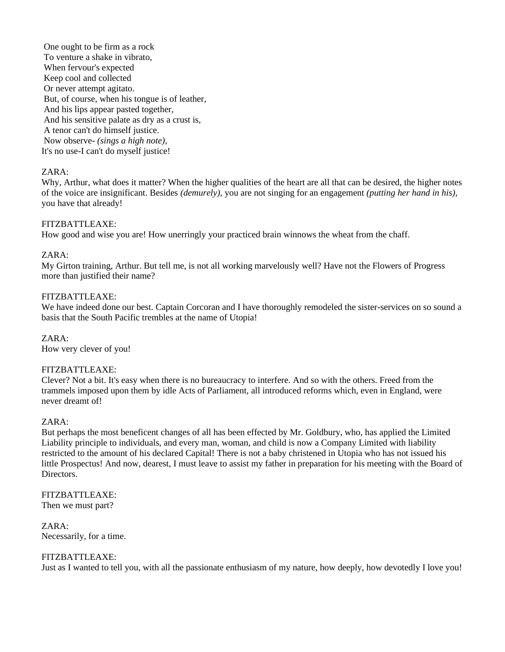One ought to be firm as a rock To venture a shake in vibrato, When fervour's expected Keep cool and collected Or never attempt agitato. But, of course, when his tongue is of leather, And his lips appear pasted together, And his sensitive palate as dry as a crust is, A tenor can't do himself justice. Now observe- *(sings a high note),* It's no use-I can't do myself justice!

# ZARA:

Why, Arthur, what does it matter? When the higher qualities of the heart are all that can be desired, the higher notes of the voice are insignificant. Besides *(demurely),* you are not singing for an engagement *(putting her hand in his),*  you have that already!

## FITZBATTLEAXE:

How good and wise you are! How unerringly your practiced brain winnows the wheat from the chaff.

## ZARA:

My Girton training, Arthur. But tell me, is not all working marvelously well? Have not the Flowers of Progress more than justified their name?

## FITZBATTLEAXE:

We have indeed done our best. Captain Corcoran and I have thoroughly remodeled the sister-services on so sound a basis that the South Pacific trembles at the name of Utopia!

ZARA: How very clever of you!

## FITZBATTLEAXE:

Clever? Not a bit. It's easy when there is no bureaucracy to interfere. And so with the others. Freed from the trammels imposed upon them by idle Acts of Parliament, all introduced reforms which, even in England, were never dreamt of!

## ZARA:

But perhaps the most beneficent changes of all has been effected by Mr. Goldbury, who, has applied the Limited Liability principle to individuals, and every man, woman, and child is now a Company Limited with liability restricted to the amount of his declared Capital! There is not a baby christened in Utopia who has not issued his little Prospectus! And now, dearest, I must leave to assist my father in preparation for his meeting with the Board of Directors.

# FITZBATTLEAXE:

Then we must part?

ZARA: Necessarily, for a time.

# FITZBATTLEAXE:

Just as I wanted to tell you, with all the passionate enthusiasm of my nature, how deeply, how devotedly I love you!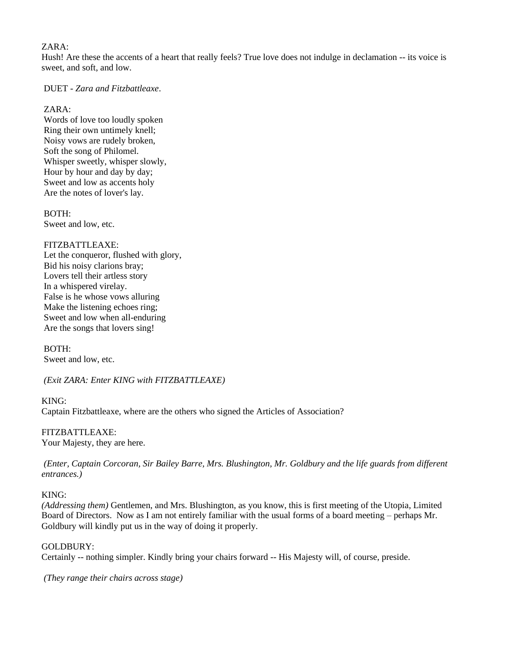# ZARA:

Hush! Are these the accents of a heart that really feels? True love does not indulge in declamation -- its voice is sweet, and soft, and low.

DUET - *Zara and Fitzbattleaxe*.

ZARA:

Words of love too loudly spoken Ring their own untimely knell; Noisy vows are rudely broken, Soft the song of Philomel. Whisper sweetly, whisper slowly, Hour by hour and day by day; Sweet and low as accents holy Are the notes of lover's lay.

BOTH: Sweet and low, etc.

# FITZBATTLEAXE:

Let the conqueror, flushed with glory, Bid his noisy clarions bray; Lovers tell their artless story In a whispered virelay. False is he whose vows alluring Make the listening echoes ring; Sweet and low when all-enduring Are the songs that lovers sing!

BOTH: Sweet and low, etc.

*(Exit ZARA: Enter KING with FITZBATTLEAXE)*

KING: Captain Fitzbattleaxe, where are the others who signed the Articles of Association?

FITZBATTLEAXE: Your Majesty, they are here.

*(Enter, Captain Corcoran, Sir Bailey Barre, Mrs. Blushington, Mr. Goldbury and the life guards from different entrances.)*

# KING:

*(Addressing them)* Gentlemen, and Mrs. Blushington, as you know, this is first meeting of the Utopia, Limited Board of Directors. Now as I am not entirely familiar with the usual forms of a board meeting – perhaps Mr. Goldbury will kindly put us in the way of doing it properly.

## GOLDBURY:

Certainly -- nothing simpler. Kindly bring your chairs forward -- His Majesty will, of course, preside.

*(They range their chairs across stage)*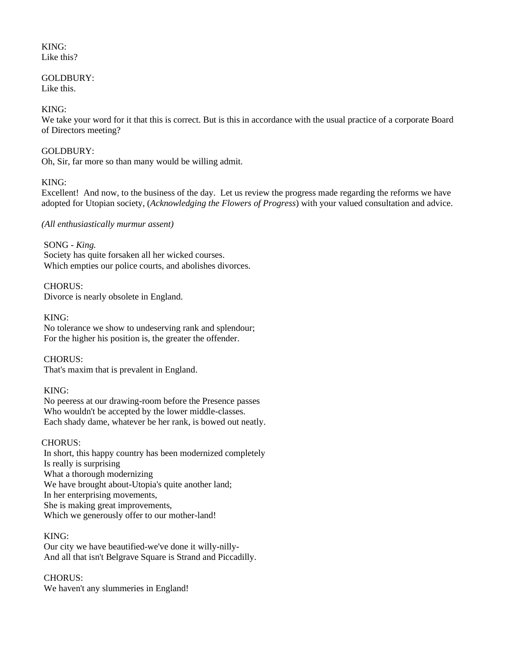#### KING: Like this?

# GOLDBURY:

Like this.

# KING:

We take your word for it that this is correct. But is this in accordance with the usual practice of a corporate Board of Directors meeting?

# GOLDBURY:

Oh, Sir, far more so than many would be willing admit.

# KING:

Excellent! And now, to the business of the day. Let us review the progress made regarding the reforms we have adopted for Utopian society, (*Acknowledging the Flowers of Progress*) with your valued consultation and advice.

# *(All enthusiastically murmur assent)*

SONG *- King.* Society has quite forsaken all her wicked courses. Which empties our police courts, and abolishes divorces.

# CHORUS:

Divorce is nearly obsolete in England.

KING:

No tolerance we show to undeserving rank and splendour; For the higher his position is, the greater the offender.

CHORUS:

That's maxim that is prevalent in England.

# KING:

No peeress at our drawing-room before the Presence passes Who wouldn't be accepted by the lower middle-classes. Each shady dame, whatever be her rank, is bowed out neatly.

# CHORUS:

In short, this happy country has been modernized completely Is really is surprising What a thorough modernizing We have brought about-Utopia's quite another land; In her enterprising movements, She is making great improvements, Which we generously offer to our mother-land!

# KING:

Our city we have beautified-we've done it willy-nilly-And all that isn't Belgrave Square is Strand and Piccadilly.

# CHORUS:

We haven't any slummeries in England!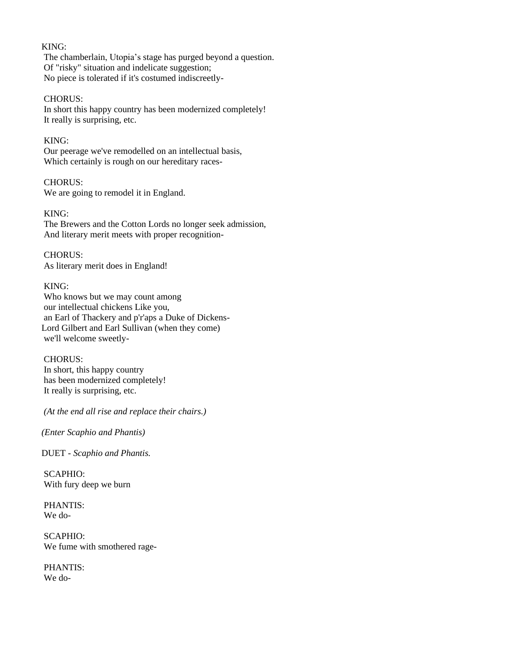#### KING:

The chamberlain, Utopia's stage has purged beyond a question. Of "risky" situation and indelicate suggestion; No piece is tolerated if it's costumed indiscreetly-

## CHORUS:

In short this happy country has been modernized completely! It really is surprising, etc.

## KING:

Our peerage we've remodelled on an intellectual basis, Which certainly is rough on our hereditary races-

# CHORUS:

We are going to remodel it in England.

# KING:

The Brewers and the Cotton Lords no longer seek admission, And literary merit meets with proper recognition-

CHORUS: As literary merit does in England!

# KING:

Who knows but we may count among our intellectual chickens Like you, an Earl of Thackery and p'r'aps a Duke of Dickens-Lord Gilbert and Earl Sullivan (when they come) we'll welcome sweetly-

## CHORUS:

In short, this happy country has been modernized completely! It really is surprising, etc.

*(At the end all rise and replace their chairs.)*

*(Enter Scaphio and Phantis)*

DUET *- Scaphio and Phantis.*

SCAPHIO: With fury deep we burn

PHANTIS: We do-

SCAPHIO: We fume with smothered rage-

PHANTIS: We do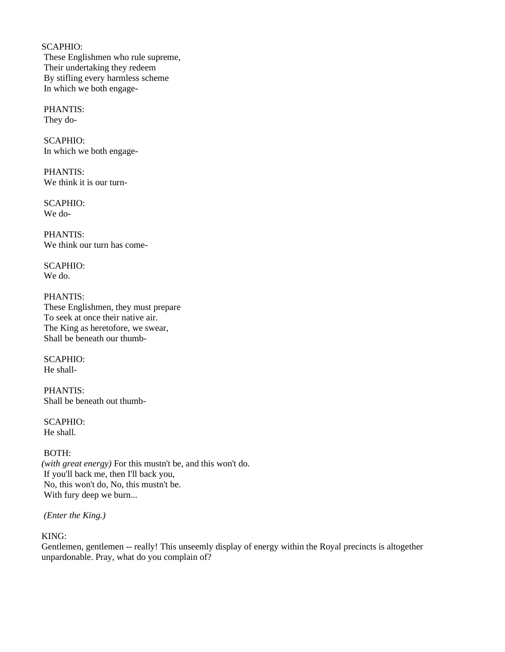SCAPHIO: These Englishmen who rule supreme, Their undertaking they redeem By stifling every harmless scheme In which we both engage-

PHANTIS: They do-

SCAPHIO: In which we both engage-

PHANTIS: We think it is our turn-

SCAPHIO: We do-

PHANTIS: We think our turn has come-

SCAPHIO: We do.

PHANTIS: These Englishmen, they must prepare To seek at once their native air. The King as heretofore, we swear, Shall be beneath our thumb-

SCAPHIO: He shall-

PHANTIS: Shall be beneath out thumb-

SCAPHIO: He shall.

BOTH: *(with great energy)* For this mustn't be, and this won't do. If you'll back me, then I'll back you, No, this won't do, No, this mustn't be. With fury deep we burn...

*(Enter the King.)*

KING:

Gentlemen, gentlemen -- really! This unseemly display of energy within the Royal precincts is altogether unpardonable. Pray, what do you complain of?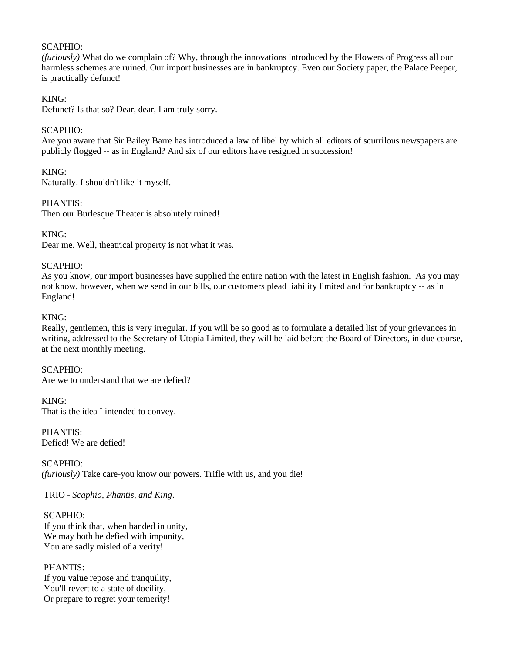# SCAPHIO:

*(furiously)* What do we complain of? Why, through the innovations introduced by the Flowers of Progress all our harmless schemes are ruined. Our import businesses are in bankruptcy. Even our Society paper, the Palace Peeper, is practically defunct!

# KING:

Defunct? Is that so? Dear, dear, I am truly sorry.

## SCAPHIO:

Are you aware that Sir Bailey Barre has introduced a law of libel by which all editors of scurrilous newspapers are publicly flogged -- as in England? And six of our editors have resigned in succession!

# KING:

Naturally. I shouldn't like it myself.

# PHANTIS:

Then our Burlesque Theater is absolutely ruined!

# KING:

Dear me. Well, theatrical property is not what it was.

# SCAPHIO:

As you know, our import businesses have supplied the entire nation with the latest in English fashion. As you may not know, however, when we send in our bills, our customers plead liability limited and for bankruptcy -- as in England!

## KING:

Really, gentlemen, this is very irregular. If you will be so good as to formulate a detailed list of your grievances in writing, addressed to the Secretary of Utopia Limited, they will be laid before the Board of Directors, in due course, at the next monthly meeting.

## SCAPHIO:

Are we to understand that we are defied?

KING: That is the idea I intended to convey.

PHANTIS: Defied! We are defied!

SCAPHIO: *(furiously)* Take care-you know our powers. Trifle with us, and you die!

TRIO - *Scaphio, Phantis, and King*.

SCAPHIO: If you think that, when banded in unity, We may both be defied with impunity, You are sadly misled of a verity!

## PHANTIS: If you value repose and tranquility, You'll revert to a state of docility, Or prepare to regret your temerity!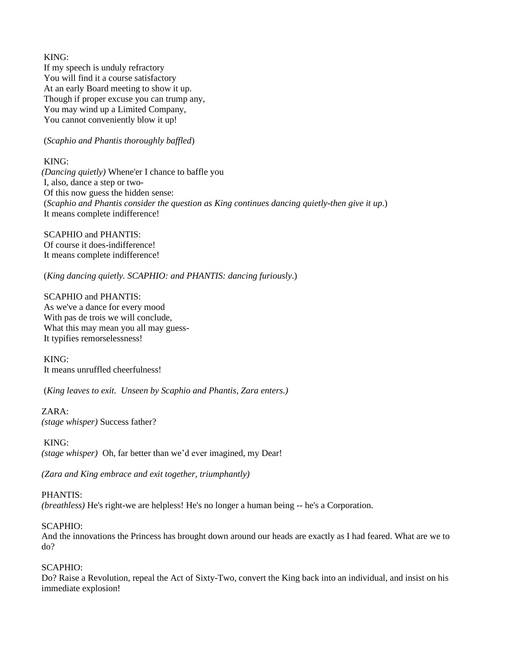KING: If my speech is unduly refractory You will find it a course satisfactory At an early Board meeting to show it up. Though if proper excuse you can trump any, You may wind up a Limited Company, You cannot conveniently blow it up!

#### (*Scaphio and Phantis thoroughly baffled*)

KING:

*(Dancing quietly)* Whene'er I chance to baffle you I, also, dance a step or two-Of this now guess the hidden sense: (*Scaphio and Phantis consider the question as King continues dancing quietly-then give it up*.) It means complete indifference!

SCAPHIO and PHANTIS: Of course it does-indifference! It means complete indifference!

(*King dancing quietly. SCAPHIO: and PHANTIS: dancing furiously*.)

SCAPHIO and PHANTIS: As we've a dance for every mood With pas de trois we will conclude, What this may mean you all may guess-It typifies remorselessness!

KING: It means unruffled cheerfulness!

(*King leaves to exit. Unseen by Scaphio and Phantis, Zara enters.)*

ZARA:

*(stage whisper)* Success father?

KING:

*(stage whisper)* Oh, far better than we'd ever imagined, my Dear!

*(Zara and King embrace and exit together, triumphantly)*

PHANTIS:

*(breathless)* He's right-we are helpless! He's no longer a human being -- he's a Corporation.

## SCAPHIO:

And the innovations the Princess has brought down around our heads are exactly as I had feared. What are we to do?

## SCAPHIO:

Do? Raise a Revolution, repeal the Act of Sixty-Two, convert the King back into an individual, and insist on his immediate explosion!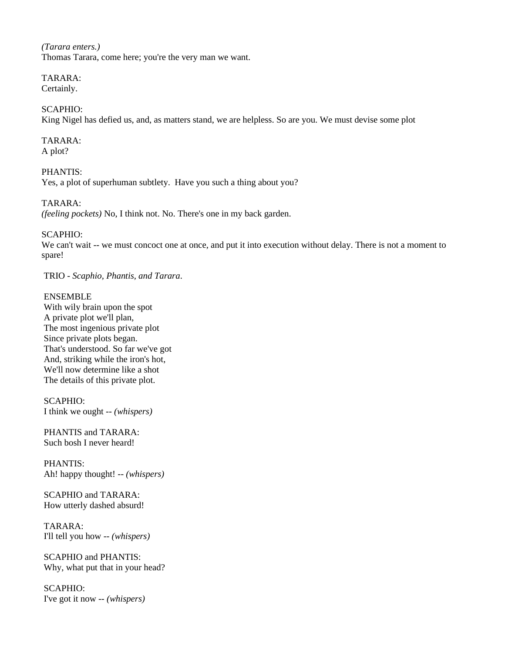*(Tarara enters.)*  Thomas Tarara, come here; you're the very man we want.

TARARA: Certainly.

# SCAPHIO:

King Nigel has defied us, and, as matters stand, we are helpless. So are you. We must devise some plot

#### TARARA: A plot?

PHANTIS:

Yes, a plot of superhuman subtlety. Have you such a thing about you?

TARARA:

*(feeling pockets)* No, I think not. No. There's one in my back garden.

#### SCAPHIO:

We can't wait -- we must concoct one at once, and put it into execution without delay. There is not a moment to spare!

TRIO - *Scaphio, Phantis, and Tarara*.

## ENSEMBLE

With wily brain upon the spot A private plot we'll plan, The most ingenious private plot Since private plots began. That's understood. So far we've got And, striking while the iron's hot, We'll now determine like a shot The details of this private plot.

SCAPHIO: I think we ought -- *(whispers)*

PHANTIS and TARARA: Such bosh I never heard!

PHANTIS: Ah! happy thought! -- *(whispers)*

SCAPHIO and TARARA: How utterly dashed absurd!

TARARA: I'll tell you how -- *(whispers)*

SCAPHIO and PHANTIS: Why, what put that in your head?

SCAPHIO: I've got it now -- *(whispers)*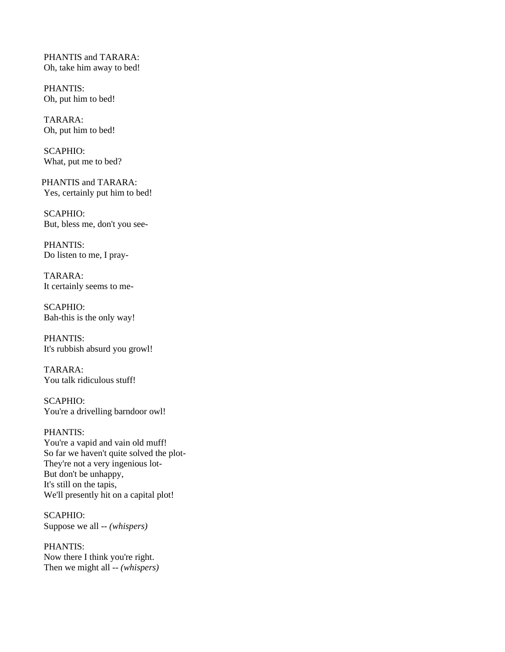PHANTIS and TARARA: Oh, take him away to bed!

PHANTIS: Oh, put him to bed!

TARARA: Oh, put him to bed!

SCAPHIO: What, put me to bed?

PHANTIS and TARARA: Yes, certainly put him to bed!

SCAPHIO: But, bless me, don't you see-

PHANTIS: Do listen to me, I pray-

TARARA: It certainly seems to me-

SCAPHIO: Bah-this is the only way!

PHANTIS: It's rubbish absurd you growl!

TARARA: You talk ridiculous stuff!

SCAPHIO: You're a drivelling barndoor owl!

PHANTIS: You're a vapid and vain old muff! So far we haven't quite solved the plot-They're not a very ingenious lot-But don't be unhappy, It's still on the tapis, We'll presently hit on a capital plot!

SCAPHIO: Suppose we all -- *(whispers)*

PHANTIS: Now there I think you're right. Then we might all -- *(whispers)*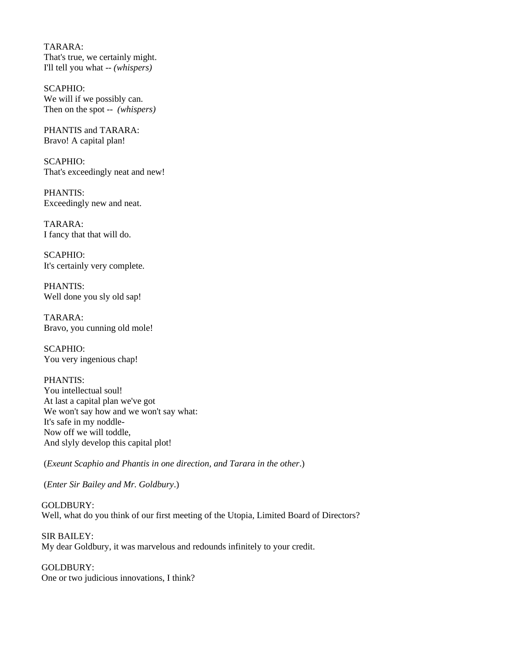TARARA: That's true, we certainly might. I'll tell you what -- *(whispers)*

SCAPHIO: We will if we possibly can. Then on the spot -- *(whispers)*

PHANTIS and TARARA: Bravo! A capital plan!

 $SCAPHIO<sup>+</sup>$ That's exceedingly neat and new!

PHANTIS: Exceedingly new and neat.

TARARA: I fancy that that will do.

SCAPHIO: It's certainly very complete.

PHANTIS: Well done you sly old sap!

TARARA: Bravo, you cunning old mole!

SCAPHIO: You very ingenious chap!

PHANTIS: You intellectual soul! At last a capital plan we've got We won't say how and we won't say what: It's safe in my noddle-Now off we will toddle, And slyly develop this capital plot!

(*Exeunt Scaphio and Phantis in one direction, and Tarara in the other*.)

(*Enter Sir Bailey and Mr. Goldbury*.)

GOLDBURY: Well, what do you think of our first meeting of the Utopia, Limited Board of Directors?

SIR BAILEY: My dear Goldbury, it was marvelous and redounds infinitely to your credit.

GOLDBURY: One or two judicious innovations, I think?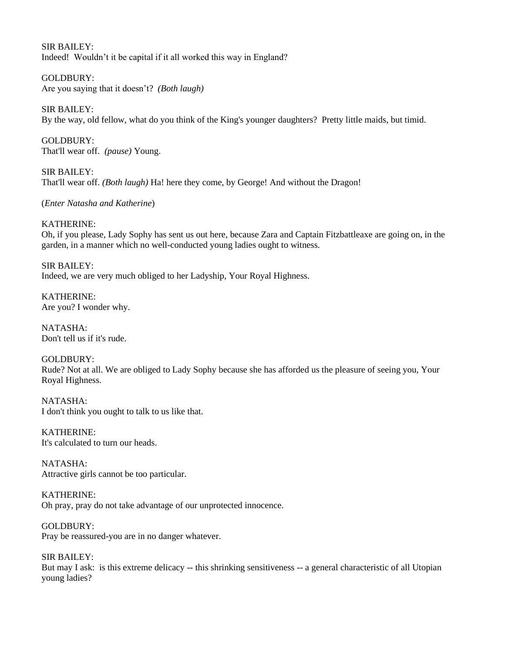SIR BAILEY: Indeed! Wouldn't it be capital if it all worked this way in England?

GOLDBURY: Are you saying that it doesn't? *(Both laugh)*

SIR BAILEY: By the way, old fellow, what do you think of the King's younger daughters? Pretty little maids, but timid.

GOLDBURY: That'll wear off. *(pause)* Young.

SIR BAILEY: That'll wear off. *(Both laugh)* Ha! here they come, by George! And without the Dragon!

(*Enter Natasha and Katherine*)

KATHERINE:

Oh, if you please, Lady Sophy has sent us out here, because Zara and Captain Fitzbattleaxe are going on, in the garden, in a manner which no well-conducted young ladies ought to witness.

SIR BAILEY: Indeed, we are very much obliged to her Ladyship, Your Royal Highness.

KATHERINE: Are you? I wonder why.

NATASHA: Don't tell us if it's rude.

GOLDBURY: Rude? Not at all. We are obliged to Lady Sophy because she has afforded us the pleasure of seeing you, Your Royal Highness.

NATASHA: I don't think you ought to talk to us like that.

KATHERINE: It's calculated to turn our heads.

NATASHA: Attractive girls cannot be too particular.

KATHERINE: Oh pray, pray do not take advantage of our unprotected innocence.

GOLDBURY: Pray be reassured-you are in no danger whatever.

SIR BAILEY: But may I ask: is this extreme delicacy -- this shrinking sensitiveness -- a general characteristic of all Utopian young ladies?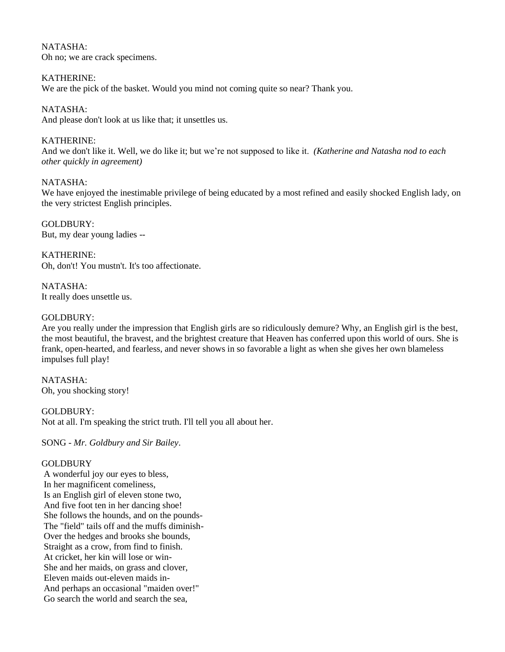NATASHA: Oh no; we are crack specimens.

KATHERINE: We are the pick of the basket. Would you mind not coming quite so near? Thank you.

NATASHA: And please don't look at us like that; it unsettles us.

KATHERINE: And we don't like it. Well, we do like it; but we're not supposed to like it. *(Katherine and Natasha nod to each other quickly in agreement)*

NATASHA:

We have enjoyed the inestimable privilege of being educated by a most refined and easily shocked English lady, on the very strictest English principles.

GOLDBURY: But, my dear young ladies --

KATHERINE: Oh, don't! You mustn't. It's too affectionate.

NATASHA: It really does unsettle us.

# GOLDBURY:

Are you really under the impression that English girls are so ridiculously demure? Why, an English girl is the best, the most beautiful, the bravest, and the brightest creature that Heaven has conferred upon this world of ours. She is frank, open-hearted, and fearless, and never shows in so favorable a light as when she gives her own blameless impulses full play!

NATASHA: Oh, you shocking story!

GOLDBURY: Not at all. I'm speaking the strict truth. I'll tell you all about her.

SONG - *Mr. Goldbury and Sir Bailey*.

# GOLDBURY

A wonderful joy our eyes to bless, In her magnificent comeliness, Is an English girl of eleven stone two, And five foot ten in her dancing shoe! She follows the hounds, and on the pounds-The "field" tails off and the muffs diminish-Over the hedges and brooks she bounds, Straight as a crow, from find to finish. At cricket, her kin will lose or win-She and her maids, on grass and clover, Eleven maids out-eleven maids in-And perhaps an occasional "maiden over!" Go search the world and search the sea,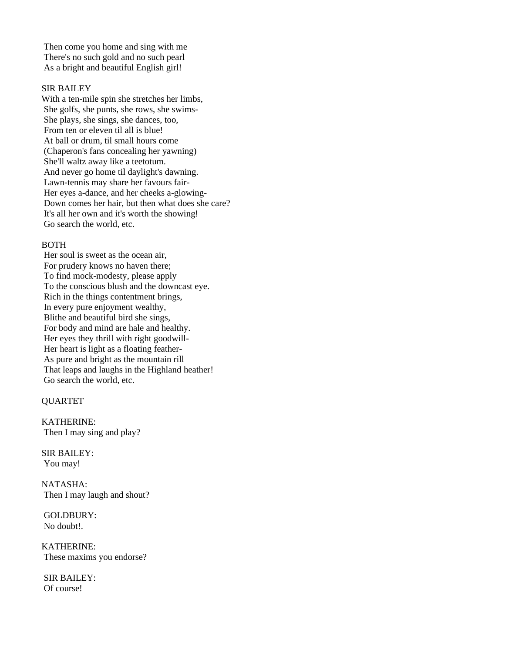Then come you home and sing with me There's no such gold and no such pearl As a bright and beautiful English girl!

#### SIR BAILEY

With a ten-mile spin she stretches her limbs, She golfs, she punts, she rows, she swims-She plays, she sings, she dances, too, From ten or eleven til all is blue! At ball or drum, til small hours come (Chaperon's fans concealing her yawning) She'll waltz away like a teetotum. And never go home til daylight's dawning. Lawn-tennis may share her favours fair-Her eyes a-dance, and her cheeks a-glowing-Down comes her hair, but then what does she care? It's all her own and it's worth the showing! Go search the world, etc.

#### BOTH

Her soul is sweet as the ocean air, For prudery knows no haven there; To find mock-modesty, please apply To the conscious blush and the downcast eye. Rich in the things contentment brings, In every pure enjoyment wealthy, Blithe and beautiful bird she sings, For body and mind are hale and healthy. Her eyes they thrill with right goodwill-Her heart is light as a floating feather-As pure and bright as the mountain rill That leaps and laughs in the Highland heather! Go search the world, etc.

## **OUARTET**

KATHERINE: Then I may sing and play?

SIR BAILEY: You may!

NATASHA: Then I may laugh and shout?

GOLDBURY: No doubt!.

KATHERINE: These maxims you endorse?

SIR BAILEY: Of course!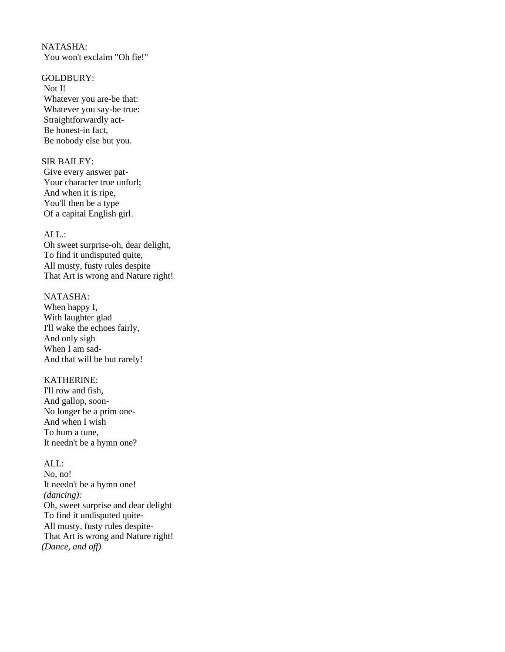NATASHA: You won't exclaim "Oh fie!"

# GOLDBURY:

Not I! Whatever you are-be that: Whatever you say-be true: Straightforwardly act-Be honest-in fact, Be nobody else but you.

#### SIR BAILEY:

Give every answer pat-Your character true unfurl; And when it is ripe, You'll then be a type Of a capital English girl.

## ALL.:

Oh sweet surprise-oh, dear delight, To find it undisputed quite, All musty, fusty rules despite That Art is wrong and Nature right!

#### NATASHA:

When happy I, With laughter glad I'll wake the echoes fairly, And only sigh When I am sad-And that will be but rarely!

## KATHERINE:

I'll row and fish, And gallop, soon-No longer be a prim one-And when I wish To hum a tune, It needn't be a hymn one?

#### ALL:

No, no! It needn't be a hymn one! *(dancing):*  Oh, sweet surprise and dear delight To find it undisputed quite-All musty, fusty rules despite-That Art is wrong and Nature right! *(Dance, and off)*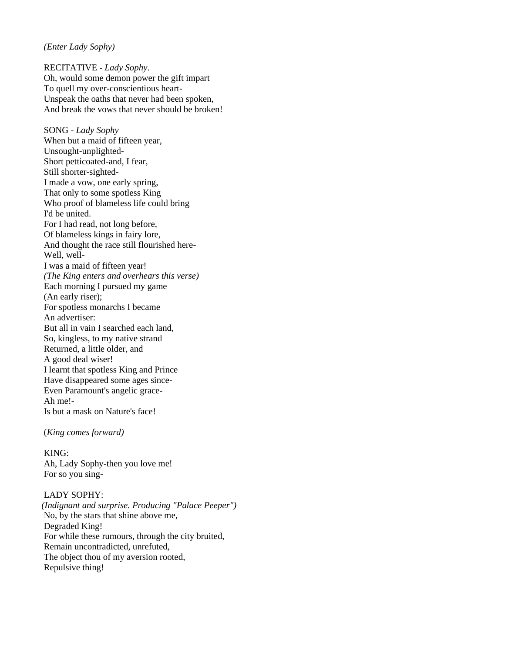#### *(Enter Lady Sophy)*

RECITATIVE - *Lady Sophy*. Oh, would some demon power the gift impart To quell my over-conscientious heart-Unspeak the oaths that never had been spoken, And break the vows that never should be broken!

SONG - *Lady Sophy* When but a maid of fifteen year, Unsought-unplighted-Short petticoated-and, I fear, Still shorter-sighted-I made a vow, one early spring, That only to some spotless King Who proof of blameless life could bring I'd be united. For I had read, not long before, Of blameless kings in fairy lore, And thought the race still flourished here-Well, well-I was a maid of fifteen year! *(The King enters and overhears this verse)* Each morning I pursued my game (An early riser); For spotless monarchs I became An advertiser: But all in vain I searched each land, So, kingless, to my native strand Returned, a little older, and A good deal wiser! I learnt that spotless King and Prince Have disappeared some ages since-Even Paramount's angelic grace-Ah me!- Is but a mask on Nature's face!

(*King comes forward)*

KING: Ah, Lady Sophy-then you love me! For so you sing-

LADY SOPHY: *(Indignant and surprise. Producing "Palace Peeper")* No, by the stars that shine above me, Degraded King! For while these rumours, through the city bruited, Remain uncontradicted, unrefuted, The object thou of my aversion rooted, Repulsive thing!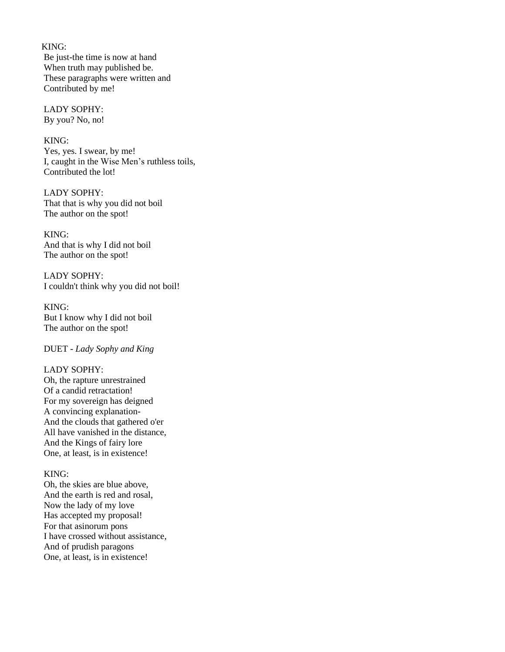KING:

Be just-the time is now at hand When truth may published be. These paragraphs were written and Contributed by me!

#### LADY SOPHY: By you? No, no!

# KING:

Yes, yes. I swear, by me! I, caught in the Wise Men's ruthless toils, Contributed the lot!

LADY SOPHY: That that is why you did not boil The author on the spot!

KING: And that is why I did not boil The author on the spot!

LADY SOPHY: I couldn't think why you did not boil!

KING: But I know why I did not boil The author on the spot!

DUET - *Lady Sophy and King*

## LADY SOPHY:

Oh, the rapture unrestrained Of a candid retractation! For my sovereign has deigned A convincing explanation-And the clouds that gathered o'er All have vanished in the distance, And the Kings of fairy lore One, at least, is in existence!

## KING:

Oh, the skies are blue above, And the earth is red and rosal, Now the lady of my love Has accepted my proposal! For that asinorum pons I have crossed without assistance, And of prudish paragons One, at least, is in existence!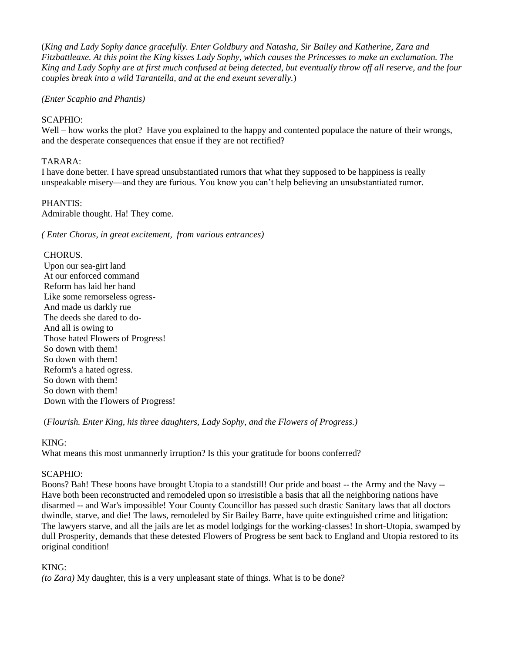(*King and Lady Sophy dance gracefully. Enter Goldbury and Natasha, Sir Bailey and Katherine, Zara and Fitzbattleaxe. At this point the King kisses Lady Sophy, which causes the Princesses to make an exclamation. The King and Lady Sophy are at first much confused at being detected, but eventually throw off all reserve, and the four couples break into a wild Tarantella, and at the end exeunt severally.*)

*(Enter Scaphio and Phantis)*

# SCAPHIO:

Well – how works the plot? Have you explained to the happy and contented populace the nature of their wrongs, and the desperate consequences that ensue if they are not rectified?

# TARARA:

I have done better. I have spread unsubstantiated rumors that what they supposed to be happiness is really unspeakable misery—and they are furious. You know you can't help believing an unsubstantiated rumor.

# PHANTIS:

Admirable thought. Ha! They come.

*( Enter Chorus, in great excitement, from various entrances)*

## CHORUS.

Upon our sea-girt land At our enforced command Reform has laid her hand Like some remorseless ogress-And made us darkly rue The deeds she dared to do-And all is owing to Those hated Flowers of Progress! So down with them! So down with them! Reform's a hated ogress. So down with them! So down with them! Down with the Flowers of Progress!

(*Flourish. Enter King, his three daughters, Lady Sophy, and the Flowers of Progress.)*

## KING:

What means this most unmannerly irruption? Is this your gratitude for boons conferred?

# SCAPHIO:

Boons? Bah! These boons have brought Utopia to a standstill! Our pride and boast -- the Army and the Navy -- Have both been reconstructed and remodeled upon so irresistible a basis that all the neighboring nations have disarmed -- and War's impossible! Your County Councillor has passed such drastic Sanitary laws that all doctors dwindle, starve, and die! The laws, remodeled by Sir Bailey Barre, have quite extinguished crime and litigation: The lawyers starve, and all the jails are let as model lodgings for the working-classes! In short-Utopia, swamped by dull Prosperity, demands that these detested Flowers of Progress be sent back to England and Utopia restored to its original condition!

# KING:

*(to Zara)* My daughter, this is a very unpleasant state of things. What is to be done?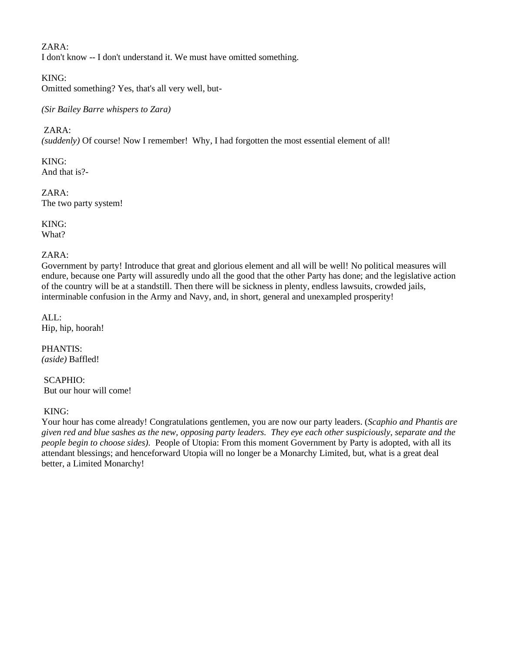ZARA: I don't know -- I don't understand it. We must have omitted something.

KING:

Omitted something? Yes, that's all very well, but-

*(Sir Bailey Barre whispers to Zara)*

ZARA:

*(suddenly)* Of course! Now I remember! Why, I had forgotten the most essential element of all!

KING: And that is?-

ZARA: The two party system!

KING: What?

## ZARA:

Government by party! Introduce that great and glorious element and all will be well! No political measures will endure, because one Party will assuredly undo all the good that the other Party has done; and the legislative action of the country will be at a standstill. Then there will be sickness in plenty, endless lawsuits, crowded jails, interminable confusion in the Army and Navy, and, in short, general and unexampled prosperity!

ALL: Hip, hip, hoorah!

PHANTIS: *(aside)* Baffled!

SCAPHIO: But our hour will come!

# KING:

Your hour has come already! Congratulations gentlemen, you are now our party leaders. (*Scaphio and Phantis are given red and blue sashes as the new, opposing party leaders. They eye each other suspiciously, separate and the people begin to choose sides).* People of Utopia: From this moment Government by Party is adopted, with all its attendant blessings; and henceforward Utopia will no longer be a Monarchy Limited, but, what is a great deal better, a Limited Monarchy!